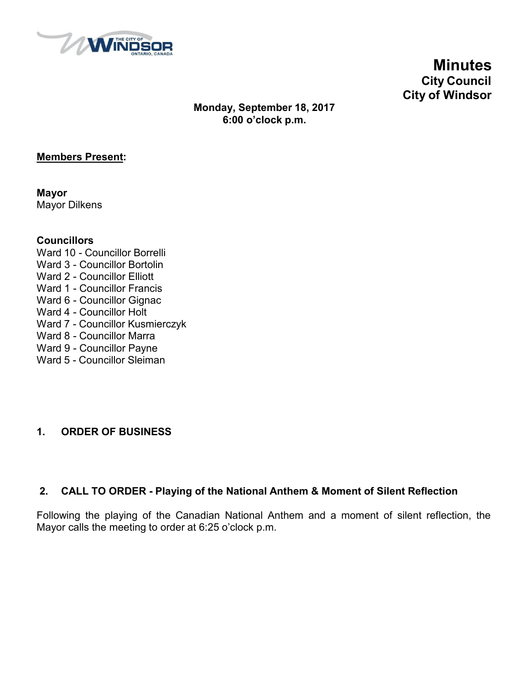

**Minutes City Council City of Windsor**

## **Monday, September 18, 2017 6:00 o'clock p.m.**

## **Members Present:**

**Mayor** Mayor Dilkens

## **Councillors**

- Ward 10 Councillor Borrelli Ward 3 - Councillor Bortolin Ward 2 - Councillor Elliott Ward 1 - Councillor Francis Ward 6 - Councillor Gignac Ward 4 - Councillor Holt Ward 7 - Councillor Kusmierczyk Ward 8 - Councillor Marra Ward 9 - Councillor Payne
- Ward 5 Councillor Sleiman

## **1. ORDER OF BUSINESS**

## **2. CALL TO ORDER - Playing of the National Anthem & Moment of Silent Reflection**

Following the playing of the Canadian National Anthem and a moment of silent reflection, the Mayor calls the meeting to order at 6:25 o'clock p.m.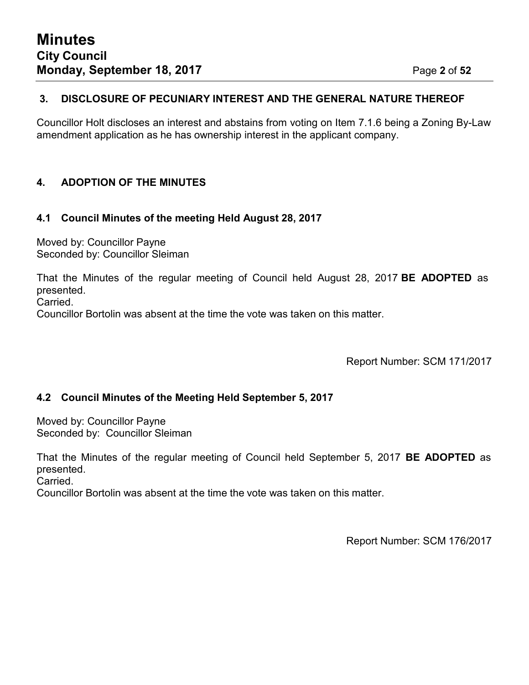## **3. DISCLOSURE OF PECUNIARY INTEREST AND THE GENERAL NATURE THEREOF**

Councillor Holt discloses an interest and abstains from voting on Item 7.1.6 being a Zoning By-Law amendment application as he has ownership interest in the applicant company.

## **4. ADOPTION OF THE MINUTES**

## **4.1 Council Minutes of the meeting Held August 28, 2017**

Moved by: Councillor Payne Seconded by: Councillor Sleiman

That the Minutes of the regular meeting of Council held August 28, 2017 **BE ADOPTED** as presented.

Carried.

Councillor Bortolin was absent at the time the vote was taken on this matter.

Report Number: SCM 171/2017

## **4.2 Council Minutes of the Meeting Held September 5, 2017**

Moved by: Councillor Payne Seconded by: Councillor Sleiman

That the Minutes of the regular meeting of Council held September 5, 2017 **BE ADOPTED** as presented.

Carried.

Councillor Bortolin was absent at the time the vote was taken on this matter.

Report Number: SCM 176/2017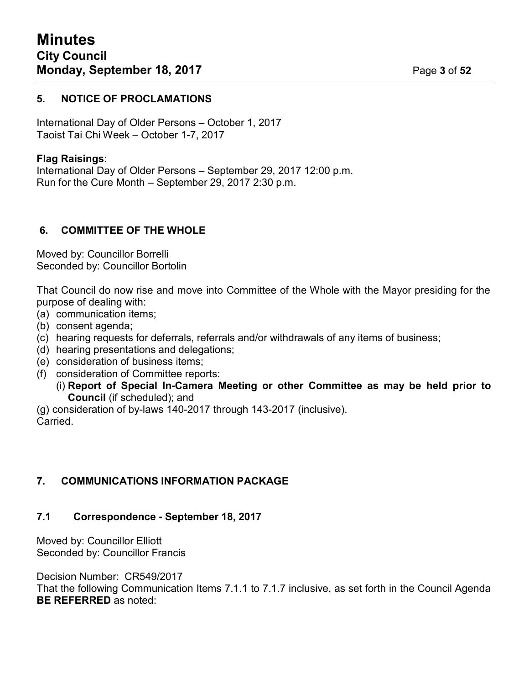## **5. NOTICE OF PROCLAMATIONS**

International Day of Older Persons – October 1, 2017 Taoist Tai Chi Week – October 1-7, 2017

## **Flag Raisings**:

International Day of Older Persons – September 29, 2017 12:00 p.m. Run for the Cure Month – September 29, 2017 2:30 p.m.

## **6. COMMITTEE OF THE WHOLE**

Moved by: Councillor Borrelli Seconded by: Councillor Bortolin

That Council do now rise and move into Committee of the Whole with the Mayor presiding for the purpose of dealing with:

- (a) communication items;
- (b) consent agenda;
- (c) hearing requests for deferrals, referrals and/or withdrawals of any items of business;
- (d) hearing presentations and delegations;
- (e) consideration of business items;
- (f) consideration of Committee reports:
	- (i) **Report of Special In-Camera Meeting or other Committee as may be held prior to Council** (if scheduled); and

(g) consideration of by-laws 140-2017 through 143-2017 (inclusive). Carried.

## **7. COMMUNICATIONS INFORMATION PACKAGE**

### **7.1 Correspondence - September 18, 2017**

Moved by: Councillor Elliott Seconded by: Councillor Francis

Decision Number: CR549/2017

That the following Communication Items 7.1.1 to 7.1.7 inclusive, as set forth in the Council Agenda **BE REFERRED** as noted: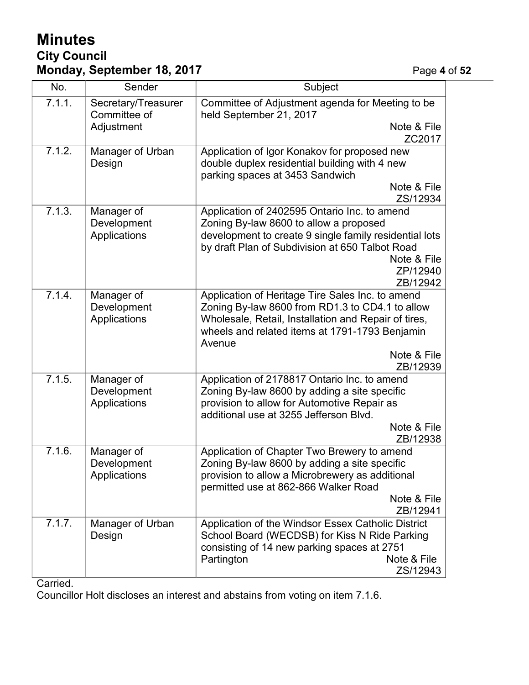## **Minutes City Council Monday, September 18, 2017 Page 4** of 52

| No.    | Sender                                    | Subject                                                                                                                                                                                                                                            |
|--------|-------------------------------------------|----------------------------------------------------------------------------------------------------------------------------------------------------------------------------------------------------------------------------------------------------|
| 7.1.1. | Secretary/Treasurer<br>Committee of       | Committee of Adjustment agenda for Meeting to be<br>held September 21, 2017<br>Note & File                                                                                                                                                         |
|        | Adjustment                                | ZC2017                                                                                                                                                                                                                                             |
| 7.1.2. | Manager of Urban<br>Design                | Application of Igor Konakov for proposed new<br>double duplex residential building with 4 new<br>parking spaces at 3453 Sandwich<br>Note & File<br>ZS/12934                                                                                        |
| 7.1.3. | Manager of<br>Development<br>Applications | Application of 2402595 Ontario Inc. to amend<br>Zoning By-law 8600 to allow a proposed<br>development to create 9 single family residential lots<br>by draft Plan of Subdivision at 650 Talbot Road<br>Note & File<br>ZP/12940<br>ZB/12942         |
| 7.1.4. | Manager of<br>Development<br>Applications | Application of Heritage Tire Sales Inc. to amend<br>Zoning By-law 8600 from RD1.3 to CD4.1 to allow<br>Wholesale, Retail, Installation and Repair of tires,<br>wheels and related items at 1791-1793 Benjamin<br>Avenue<br>Note & File<br>ZB/12939 |
| 7.1.5. | Manager of<br>Development<br>Applications | Application of 2178817 Ontario Inc. to amend<br>Zoning By-law 8600 by adding a site specific<br>provision to allow for Automotive Repair as<br>additional use at 3255 Jefferson Blvd.<br>Note & File<br>ZB/12938                                   |
| 7.1.6. | Manager of<br>Development<br>Applications | Application of Chapter Two Brewery to amend<br>Zoning By-law 8600 by adding a site specific<br>provision to allow a Microbrewery as additional<br>permitted use at 862-866 Walker Road<br>Note & File<br>ZB/12941                                  |
| 7.1.7. | Manager of Urban<br>Design                | Application of the Windsor Essex Catholic District<br>School Board (WECDSB) for Kiss N Ride Parking<br>consisting of 14 new parking spaces at 2751<br>Partington<br>Note & File<br>ZS/12943                                                        |

Carried.

Councillor Holt discloses an interest and abstains from voting on item 7.1.6.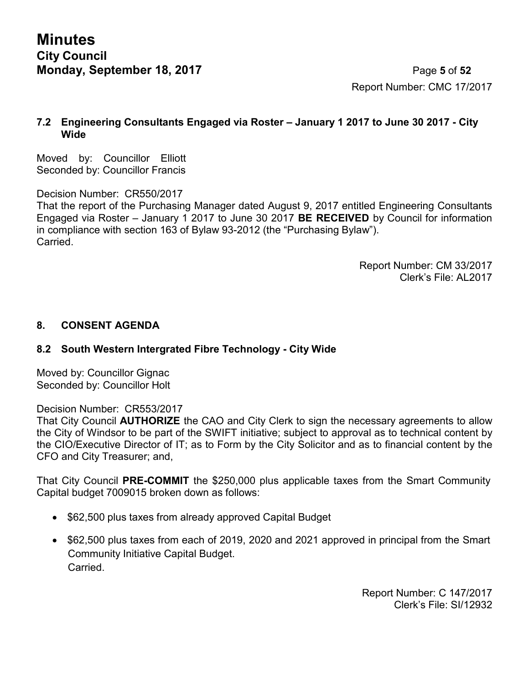**Minutes City Council Monday, September 18, 2017** Page **5** of **52**

Report Number: CMC 17/2017

## **7.2 Engineering Consultants Engaged via Roster – January 1 2017 to June 30 2017 - City Wide**

Moved by: Councillor Elliott Seconded by: Councillor Francis

Decision Number: CR550/2017

That the report of the Purchasing Manager dated August 9, 2017 entitled Engineering Consultants Engaged via Roster – January 1 2017 to June 30 2017 **BE RECEIVED** by Council for information in compliance with section 163 of Bylaw 93-2012 (the "Purchasing Bylaw"). **Carried** 

> Report Number: CM 33/2017 Clerk's File: AL2017

## **8. CONSENT AGENDA**

## **8.2 South Western Intergrated Fibre Technology - City Wide**

Moved by: Councillor Gignac Seconded by: Councillor Holt

### Decision Number: CR553/2017

That City Council **AUTHORIZE** the CAO and City Clerk to sign the necessary agreements to allow the City of Windsor to be part of the SWIFT initiative; subject to approval as to technical content by the CIO/Executive Director of IT; as to Form by the City Solicitor and as to financial content by the CFO and City Treasurer; and,

That City Council **PRE-COMMIT** the \$250,000 plus applicable taxes from the Smart Community Capital budget 7009015 broken down as follows:

- \$62,500 plus taxes from already approved Capital Budget
- \$62,500 plus taxes from each of 2019, 2020 and 2021 approved in principal from the Smart Community Initiative Capital Budget. Carried.

Report Number: C 147/2017 Clerk's File: SI/12932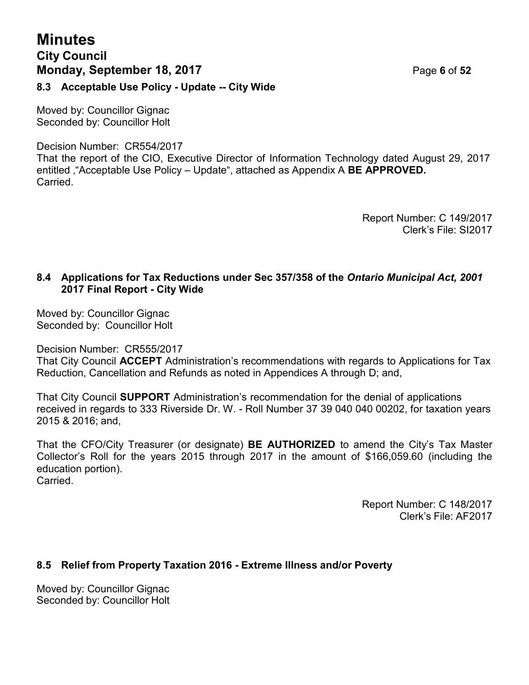## **Minutes City Council Monday, September 18, 2017** Page **6** of **52**

**8.3 Acceptable Use Policy - Update -- City Wide**

Moved by: Councillor Gignac Seconded by: Councillor Holt

Decision Number: CR554/2017

That the report of the CIO, Executive Director of Information Technology dated August 29, 2017 entitled '"Acceptable Use Policy – Update", attached as Appendix A **BE APPROVED. Carried** 

> Report Number: C 149/2017 Clerk's File: SI2017

## **8.4 Applications for Tax Reductions under Sec 357/358 of the** *Ontario Municipal Act, 2001* **2017 Final Report - City Wide**

Moved by: Councillor Gignac Seconded by: Councillor Holt

Decision Number: CR555/2017

That City Council **ACCEPT** Administration's recommendations with regards to Applications for Tax Reduction, Cancellation and Refunds as noted in Appendices A through D; and,

That City Council **SUPPORT** Administration's recommendation for the denial of applications received in regards to 333 Riverside Dr. W. - Roll Number 37 39 040 040 00202, for taxation years 2015 & 2016; and,

That the CFO/City Treasurer (or designate) **BE AUTHORIZED** to amend the City's Tax Master Collector's Roll for the years 2015 through 2017 in the amount of \$166,059.60 (including the education portion). Carried.

> Report Number: C 148/2017 Clerk's File: AF2017

## **8.5 Relief from Property Taxation 2016 - Extreme Illness and/or Poverty**

Moved by: Councillor Gignac Seconded by: Councillor Holt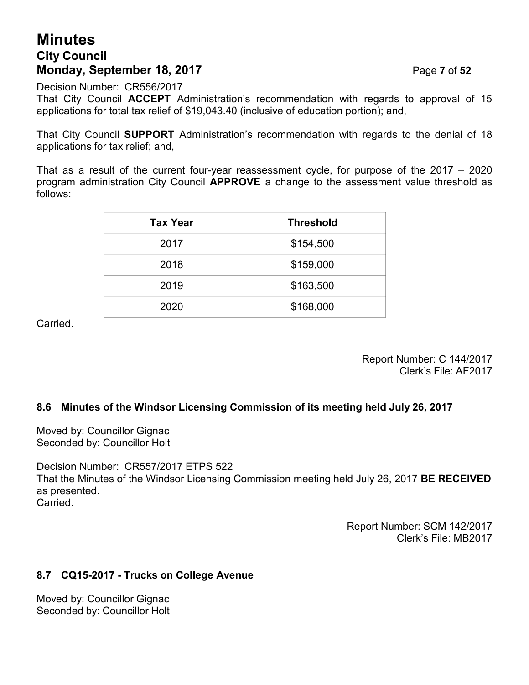## **Minutes City Council Monday, September 18, 2017** Page **7** of **52**

Decision Number: CR556/2017

That City Council **ACCEPT** Administration's recommendation with regards to approval of 15 applications for total tax relief of \$19,043.40 (inclusive of education portion); and,

That City Council **SUPPORT** Administration's recommendation with regards to the denial of 18 applications for tax relief; and,

That as a result of the current four-year reassessment cycle, for purpose of the 2017 – 2020 program administration City Council **APPROVE** a change to the assessment value threshold as follows:

| <b>Tax Year</b> | <b>Threshold</b> |
|-----------------|------------------|
| 2017            | \$154,500        |
| 2018            | \$159,000        |
| 2019            | \$163,500        |
| 2020            | \$168,000        |

Carried.

Report Number: C 144/2017 Clerk's File: AF2017

## **8.6 Minutes of the Windsor Licensing Commission of its meeting held July 26, 2017**

Moved by: Councillor Gignac Seconded by: Councillor Holt

Decision Number: CR557/2017 ETPS 522 That the Minutes of the Windsor Licensing Commission meeting held July 26, 2017 **BE RECEIVED** as presented. **Carried** 

> Report Number: SCM 142/2017 Clerk's File: MB2017

## **8.7 CQ15-2017 - Trucks on College Avenue**

Moved by: Councillor Gignac Seconded by: Councillor Holt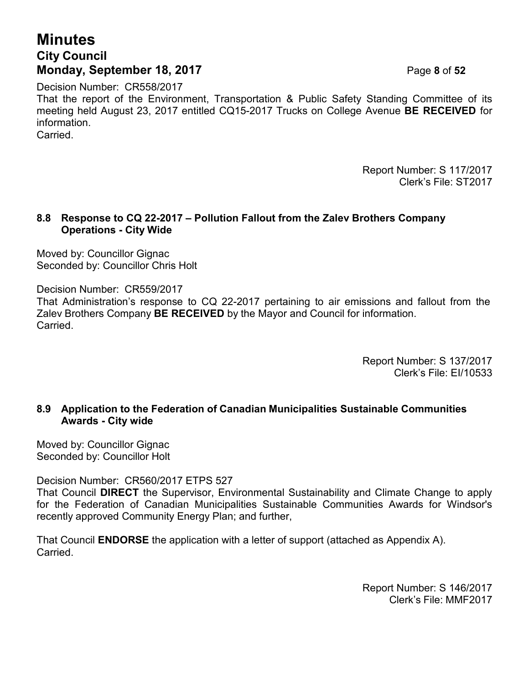## **Minutes City Council Monday, September 18, 2017** Page **8** of **52**

Decision Number: CR558/2017 That the report of the Environment, Transportation & Public Safety Standing Committee of its meeting held August 23, 2017 entitled CQ15-2017 Trucks on College Avenue **BE RECEIVED** for information. **Carried** 

> Report Number: S 117/2017 Clerk's File: ST2017

## **8.8 Response to CQ 22-2017 – Pollution Fallout from the Zalev Brothers Company Operations - City Wide**

Moved by: Councillor Gignac Seconded by: Councillor Chris Holt

Decision Number: CR559/2017

That Administration's response to CQ 22-2017 pertaining to air emissions and fallout from the Zalev Brothers Company **BE RECEIVED** by the Mayor and Council for information. Carried.

> Report Number: S 137/2017 Clerk's File: EI/10533

## **8.9 Application to the Federation of Canadian Municipalities Sustainable Communities Awards - City wide**

Moved by: Councillor Gignac Seconded by: Councillor Holt

Decision Number: CR560/2017 ETPS 527

That Council **DIRECT** the Supervisor, Environmental Sustainability and Climate Change to apply for the Federation of Canadian Municipalities Sustainable Communities Awards for Windsor's recently approved Community Energy Plan; and further,

That Council **ENDORSE** the application with a letter of support (attached as Appendix A). Carried.

> Report Number: S 146/2017 Clerk's File: MMF2017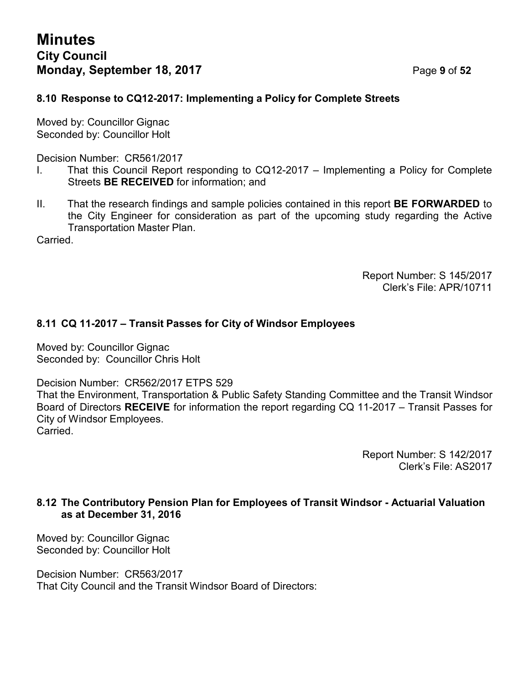## **8.10 Response to CQ12-2017: Implementing a Policy for Complete Streets**

Moved by: Councillor Gignac Seconded by: Councillor Holt

Decision Number: CR561/2017

- I. That this Council Report responding to CQ12-2017 Implementing a Policy for Complete Streets **BE RECEIVED** for information; and
- II. That the research findings and sample policies contained in this report **BE FORWARDED** to the City Engineer for consideration as part of the upcoming study regarding the Active Transportation Master Plan.

**Carried** 

Report Number: S 145/2017 Clerk's File: APR/10711

## **8.11 CQ 11-2017 – Transit Passes for City of Windsor Employees**

Moved by: Councillor Gignac Seconded by: Councillor Chris Holt

Decision Number: CR562/2017 ETPS 529

That the Environment, Transportation & Public Safety Standing Committee and the Transit Windsor Board of Directors **RECEIVE** for information the report regarding CQ 11-2017 – Transit Passes for City of Windsor Employees. Carried.

> Report Number: S 142/2017 Clerk's File: AS2017

## **8.12 The Contributory Pension Plan for Employees of Transit Windsor - Actuarial Valuation as at December 31, 2016**

Moved by: Councillor Gignac Seconded by: Councillor Holt

Decision Number: CR563/2017 That City Council and the Transit Windsor Board of Directors: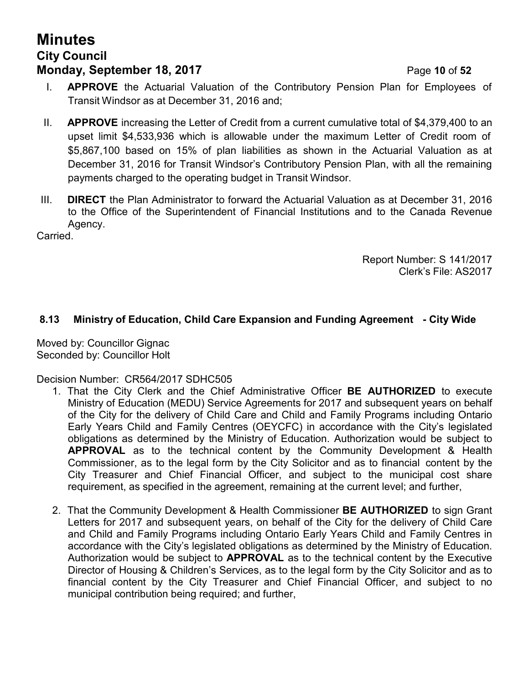## **Minutes City Council Monday, September 18, 2017 Page 10 of 52**

- I. **APPROVE** the Actuarial Valuation of the Contributory Pension Plan for Employees of Transit Windsor as at December 31, 2016 and;
- II. **APPROVE** increasing the Letter of Credit from a current cumulative total of \$4,379,400 to an upset limit \$4,533,936 which is allowable under the maximum Letter of Credit room of \$5,867,100 based on 15% of plan liabilities as shown in the Actuarial Valuation as at December 31, 2016 for Transit Windsor's Contributory Pension Plan, with all the remaining payments charged to the operating budget in Transit Windsor.
- III. **DIRECT** the Plan Administrator to forward the Actuarial Valuation as at December 31, 2016 to the Office of the Superintendent of Financial Institutions and to the Canada Revenue Agency.

Carried.

Report Number: S 141/2017 Clerk's File: AS2017

## **8.13 Ministry of Education, Child Care Expansion and Funding Agreement - City Wide**

Moved by: Councillor Gignac Seconded by: Councillor Holt

Decision Number: CR564/2017 SDHC505

- 1. That the City Clerk and the Chief Administrative Officer **BE AUTHORIZED** to execute Ministry of Education (MEDU) Service Agreements for 2017 and subsequent years on behalf of the City for the delivery of Child Care and Child and Family Programs including Ontario Early Years Child and Family Centres (OEYCFC) in accordance with the City's legislated obligations as determined by the Ministry of Education. Authorization would be subject to **APPROVAL** as to the technical content by the Community Development & Health Commissioner, as to the legal form by the City Solicitor and as to financial content by the City Treasurer and Chief Financial Officer, and subject to the municipal cost share requirement, as specified in the agreement, remaining at the current level; and further,
- 2. That the Community Development & Health Commissioner **BE AUTHORIZED** to sign Grant Letters for 2017 and subsequent years, on behalf of the City for the delivery of Child Care and Child and Family Programs including Ontario Early Years Child and Family Centres in accordance with the City's legislated obligations as determined by the Ministry of Education. Authorization would be subject to **APPROVAL** as to the technical content by the Executive Director of Housing & Children's Services, as to the legal form by the City Solicitor and as to financial content by the City Treasurer and Chief Financial Officer, and subject to no municipal contribution being required; and further,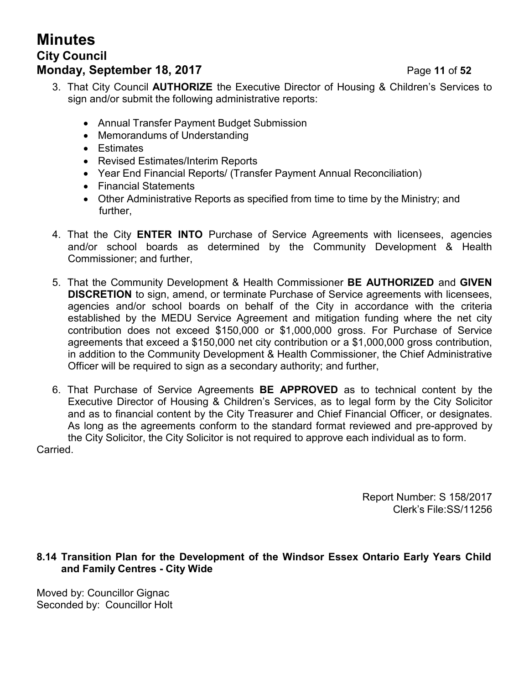## **Minutes City Council Monday, September 18, 2017** Page 11 of 52

- 3. That City Council **AUTHORIZE** the Executive Director of Housing & Children's Services to sign and/or submit the following administrative reports:
	- Annual Transfer Payment Budget Submission
	- Memorandums of Understanding
	- Estimates
	- Revised Estimates/Interim Reports
	- Year End Financial Reports/ (Transfer Payment Annual Reconciliation)
	- Financial Statements
	- Other Administrative Reports as specified from time to time by the Ministry; and further,
- 4. That the City **ENTER INTO** Purchase of Service Agreements with licensees, agencies and/or school boards as determined by the Community Development & Health Commissioner; and further,
- 5. That the Community Development & Health Commissioner **BE AUTHORIZED** and **GIVEN DISCRETION** to sign, amend, or terminate Purchase of Service agreements with licensees, agencies and/or school boards on behalf of the City in accordance with the criteria established by the MEDU Service Agreement and mitigation funding where the net city contribution does not exceed \$150,000 or \$1,000,000 gross. For Purchase of Service agreements that exceed a \$150,000 net city contribution or a \$1,000,000 gross contribution, in addition to the Community Development & Health Commissioner, the Chief Administrative Officer will be required to sign as a secondary authority; and further,
- 6. That Purchase of Service Agreements **BE APPROVED** as to technical content by the Executive Director of Housing & Children's Services, as to legal form by the City Solicitor and as to financial content by the City Treasurer and Chief Financial Officer, or designates. As long as the agreements conform to the standard format reviewed and pre-approved by the City Solicitor, the City Solicitor is not required to approve each individual as to form.

Carried.

Report Number: S 158/2017 Clerk's File:SS/11256

**8.14 Transition Plan for the Development of the Windsor Essex Ontario Early Years Child and Family Centres - City Wide**

Moved by: Councillor Gignac Seconded by: Councillor Holt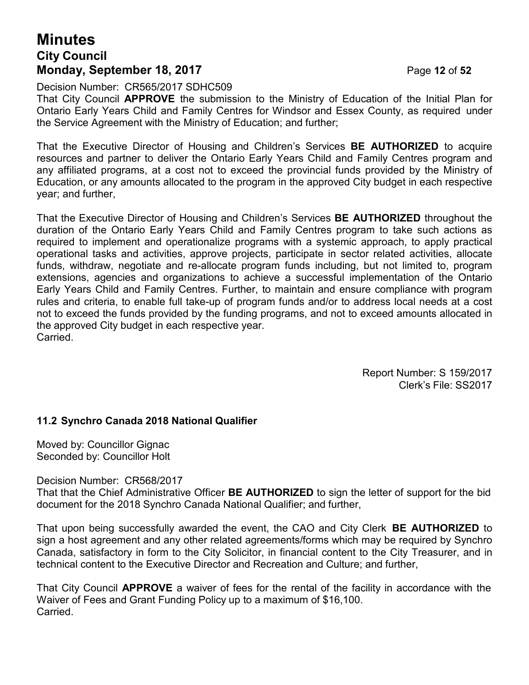## **Minutes City Council Monday, September 18, 2017** Page 12 of 52

Decision Number: CR565/2017 SDHC509

That City Council **APPROVE** the submission to the Ministry of Education of the Initial Plan for Ontario Early Years Child and Family Centres for Windsor and Essex County, as required under the Service Agreement with the Ministry of Education; and further;

That the Executive Director of Housing and Children's Services **BE AUTHORIZED** to acquire resources and partner to deliver the Ontario Early Years Child and Family Centres program and any affiliated programs, at a cost not to exceed the provincial funds provided by the Ministry of Education, or any amounts allocated to the program in the approved City budget in each respective year; and further,

That the Executive Director of Housing and Children's Services **BE AUTHORIZED** throughout the duration of the Ontario Early Years Child and Family Centres program to take such actions as required to implement and operationalize programs with a systemic approach, to apply practical operational tasks and activities, approve projects, participate in sector related activities, allocate funds, withdraw, negotiate and re-allocate program funds including, but not limited to, program extensions, agencies and organizations to achieve a successful implementation of the Ontario Early Years Child and Family Centres. Further, to maintain and ensure compliance with program rules and criteria, to enable full take-up of program funds and/or to address local needs at a cost not to exceed the funds provided by the funding programs, and not to exceed amounts allocated in the approved City budget in each respective year. Carried.

> Report Number: S 159/2017 Clerk's File: SS2017

## **11.2 Synchro Canada 2018 National Qualifier**

Moved by: Councillor Gignac Seconded by: Councillor Holt

Decision Number: CR568/2017

That that the Chief Administrative Officer **BE AUTHORIZED** to sign the letter of support for the bid document for the 2018 Synchro Canada National Qualifier; and further,

That upon being successfully awarded the event, the CAO and City Clerk **BE AUTHORIZED** to sign a host agreement and any other related agreements/forms which may be required by Synchro Canada, satisfactory in form to the City Solicitor, in financial content to the City Treasurer, and in technical content to the Executive Director and Recreation and Culture; and further,

That City Council **APPROVE** a waiver of fees for the rental of the facility in accordance with the Waiver of Fees and Grant Funding Policy up to a maximum of \$16,100. Carried.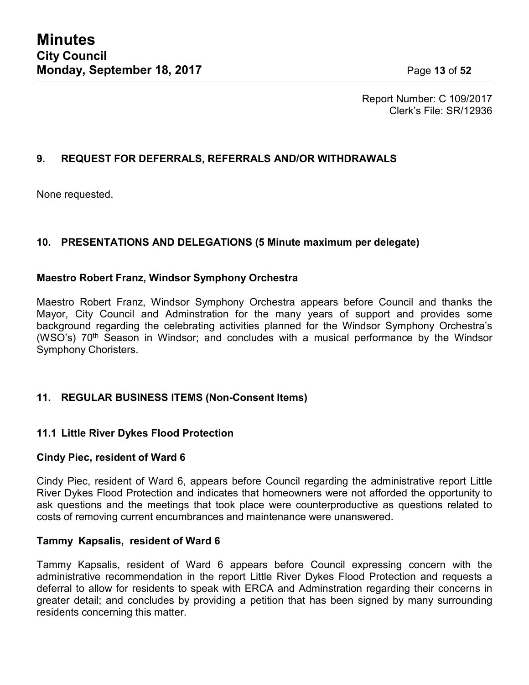Report Number: C 109/2017 Clerk's File: SR/12936

## **9. REQUEST FOR DEFERRALS, REFERRALS AND/OR WITHDRAWALS**

None requested.

## **10. PRESENTATIONS AND DELEGATIONS (5 Minute maximum per delegate)**

## **Maestro Robert Franz, Windsor Symphony Orchestra**

Maestro Robert Franz, Windsor Symphony Orchestra appears before Council and thanks the Mayor, City Council and Adminstration for the many years of support and provides some background regarding the celebrating activities planned for the Windsor Symphony Orchestra's (WSO's) 70<sup>th</sup> Season in Windsor; and concludes with a musical performance by the Windsor Symphony Choristers.

## **11. REGULAR BUSINESS ITEMS (Non-Consent Items)**

## **11.1 Little River Dykes Flood Protection**

## **Cindy Piec, resident of Ward 6**

Cindy Piec, resident of Ward 6, appears before Council regarding the administrative report Little River Dykes Flood Protection and indicates that homeowners were not afforded the opportunity to ask questions and the meetings that took place were counterproductive as questions related to costs of removing current encumbrances and maintenance were unanswered.

## **Tammy Kapsalis, resident of Ward 6**

Tammy Kapsalis, resident of Ward 6 appears before Council expressing concern with the administrative recommendation in the report Little River Dykes Flood Protection and requests a deferral to allow for residents to speak with ERCA and Adminstration regarding their concerns in greater detail; and concludes by providing a petition that has been signed by many surrounding residents concerning this matter.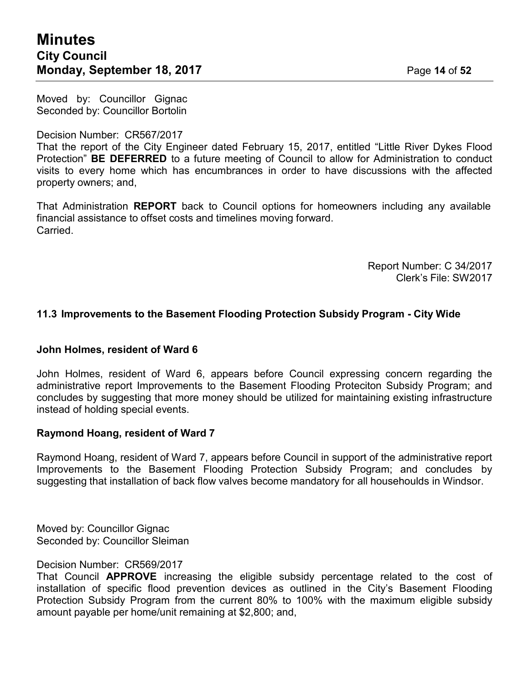Moved by: Councillor Gignac Seconded by: Councillor Bortolin

### Decision Number: CR567/2017

That the report of the City Engineer dated February 15, 2017, entitled "Little River Dykes Flood Protection" **BE DEFERRED** to a future meeting of Council to allow for Administration to conduct visits to every home which has encumbrances in order to have discussions with the affected property owners; and,

That Administration **REPORT** back to Council options for homeowners including any available financial assistance to offset costs and timelines moving forward. Carried.

> Report Number: C 34/2017 Clerk's File: SW2017

## **11.3 Improvements to the Basement Flooding Protection Subsidy Program - City Wide**

### **John Holmes, resident of Ward 6**

John Holmes, resident of Ward 6, appears before Council expressing concern regarding the administrative report Improvements to the Basement Flooding Proteciton Subsidy Program; and concludes by suggesting that more money should be utilized for maintaining existing infrastructure instead of holding special events.

### **Raymond Hoang, resident of Ward 7**

Raymond Hoang, resident of Ward 7, appears before Council in support of the administrative report Improvements to the Basement Flooding Protection Subsidy Program; and concludes by suggesting that installation of back flow valves become mandatory for all househoulds in Windsor.

Moved by: Councillor Gignac Seconded by: Councillor Sleiman

### Decision Number: CR569/2017

That Council **APPROVE** increasing the eligible subsidy percentage related to the cost of installation of specific flood prevention devices as outlined in the City's Basement Flooding Protection Subsidy Program from the current 80% to 100% with the maximum eligible subsidy amount payable per home/unit remaining at \$2,800; and,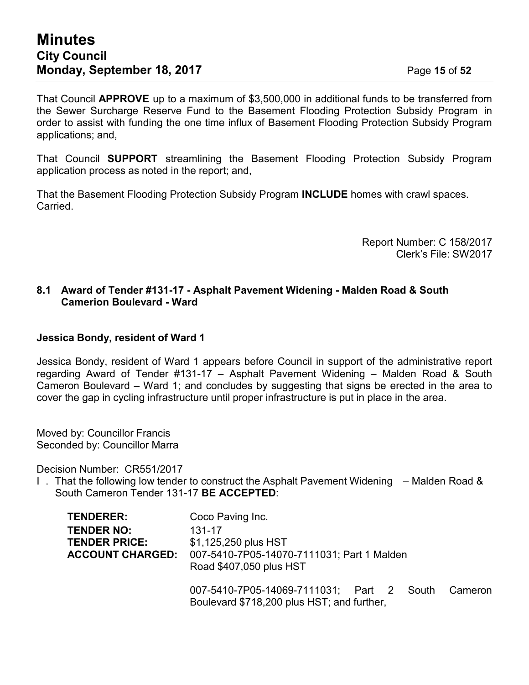That Council **APPROVE** up to a maximum of \$3,500,000 in additional funds to be transferred from the Sewer Surcharge Reserve Fund to the Basement Flooding Protection Subsidy Program in order to assist with funding the one time influx of Basement Flooding Protection Subsidy Program applications; and,

That Council **SUPPORT** streamlining the Basement Flooding Protection Subsidy Program application process as noted in the report; and,

That the Basement Flooding Protection Subsidy Program **INCLUDE** homes with crawl spaces. Carried.

> Report Number: C 158/2017 Clerk's File: SW2017

## **8.1 Award of Tender #131-17 - Asphalt Pavement Widening - Malden Road & South Camerion Boulevard - Ward**

## **Jessica Bondy, resident of Ward 1**

Jessica Bondy, resident of Ward 1 appears before Council in support of the administrative report regarding Award of Tender #131-17 – Asphalt Pavement Widening – Malden Road & South Cameron Boulevard – Ward 1; and concludes by suggesting that signs be erected in the area to cover the gap in cycling infrastructure until proper infrastructure is put in place in the area.

Moved by: Councillor Francis Seconded by: Councillor Marra

Decision Number: CR551/2017

I . That the following low tender to construct the Asphalt Pavement Widening – Malden Road & South Cameron Tender 131-17 **BE ACCEPTED**:

| TENDERER:                                                            | Coco Paving Inc.                                                                                        |  |  |  |  |  |  |
|----------------------------------------------------------------------|---------------------------------------------------------------------------------------------------------|--|--|--|--|--|--|
| <b>TENDER NO:</b><br><b>TENDER PRICE:</b><br><b>ACCOUNT CHARGED:</b> | 131-17<br>\$1,125,250 plus HST<br>007-5410-7P05-14070-7111031; Part 1 Malden<br>Road \$407,050 plus HST |  |  |  |  |  |  |
|                                                                      | 007-5410-7P05-14069-7111031; Part 2 South<br>Cameron<br>Boulevard \$718,200 plus HST; and further,      |  |  |  |  |  |  |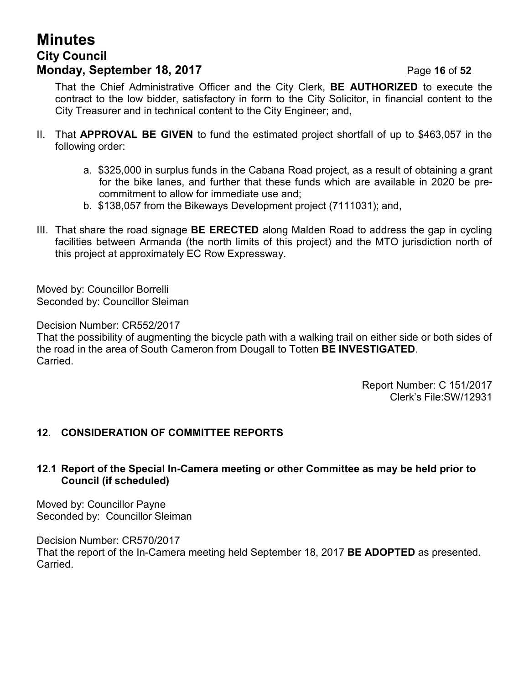## **Minutes City Council Monday, September 18, 2017 Page 16 of 52**

That the Chief Administrative Officer and the City Clerk, **BE AUTHORIZED** to execute the contract to the low bidder, satisfactory in form to the City Solicitor, in financial content to the City Treasurer and in technical content to the City Engineer; and,

- II. That **APPROVAL BE GIVEN** to fund the estimated project shortfall of up to \$463,057 in the following order:
	- a. \$325,000 in surplus funds in the Cabana Road project, as a result of obtaining a grant for the bike lanes, and further that these funds which are available in 2020 be precommitment to allow for immediate use and;
	- b. \$138,057 from the Bikeways Development project (7111031); and,
- III. That share the road signage **BE ERECTED** along Malden Road to address the gap in cycling facilities between Armanda (the north limits of this project) and the MTO jurisdiction north of this project at approximately EC Row Expressway.

Moved by: Councillor Borrelli Seconded by: Councillor Sleiman

Decision Number: CR552/2017

That the possibility of augmenting the bicycle path with a walking trail on either side or both sides of the road in the area of South Cameron from Dougall to Totten **BE INVESTIGATED**. **Carried** 

> Report Number: C 151/2017 Clerk's File:SW/12931

## **12. CONSIDERATION OF COMMITTEE REPORTS**

## **12.1 Report of the Special In-Camera meeting or other Committee as may be held prior to Council (if scheduled)**

Moved by: Councillor Payne Seconded by: Councillor Sleiman

Decision Number: CR570/2017 That the report of the In-Camera meeting held September 18, 2017 **BE ADOPTED** as presented. **Carried**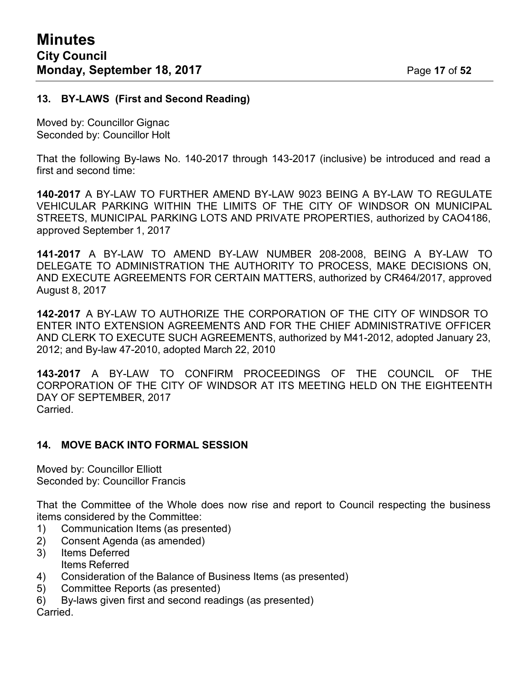## **13. BY-LAWS (First and Second Reading)**

Moved by: Councillor Gignac Seconded by: Councillor Holt

That the following By-laws No. 140-2017 through 143-2017 (inclusive) be introduced and read a first and second time:

**140-2017** A BY-LAW TO FURTHER AMEND BY-LAW 9023 BEING A BY-LAW TO REGULATE VEHICULAR PARKING WITHIN THE LIMITS OF THE CITY OF WINDSOR ON MUNICIPAL STREETS, MUNICIPAL PARKING LOTS AND PRIVATE PROPERTIES, authorized by CAO4186, approved September 1, 2017

**141-2017** A BY-LAW TO AMEND BY-LAW NUMBER 208-2008, BEING A BY-LAW TO DELEGATE TO ADMINISTRATION THE AUTHORITY TO PROCESS, MAKE DECISIONS ON, AND EXECUTE AGREEMENTS FOR CERTAIN MATTERS, authorized by CR464/2017, approved August 8, 2017

**142-2017** A BY-LAW TO AUTHORIZE THE CORPORATION OF THE CITY OF WINDSOR TO ENTER INTO EXTENSION AGREEMENTS AND FOR THE CHIEF ADMINISTRATIVE OFFICER AND CLERK TO EXECUTE SUCH AGREEMENTS, authorized by M41-2012, adopted January 23, 2012; and By-law 47-2010, adopted March 22, 2010

**143-2017** A BY-LAW TO CONFIRM PROCEEDINGS OF THE COUNCIL OF THE CORPORATION OF THE CITY OF WINDSOR AT ITS MEETING HELD ON THE EIGHTEENTH DAY OF SEPTEMBER, 2017 Carried.

## **14. MOVE BACK INTO FORMAL SESSION**

Moved by: Councillor Elliott Seconded by: Councillor Francis

That the Committee of the Whole does now rise and report to Council respecting the business items considered by the Committee:

- 1) Communication Items (as presented)
- 2) Consent Agenda (as amended)
- 3) Items Deferred Items Referred
- 4) Consideration of the Balance of Business Items (as presented)
- 5) Committee Reports (as presented)
- 6) By-laws given first and second readings (as presented)

Carried.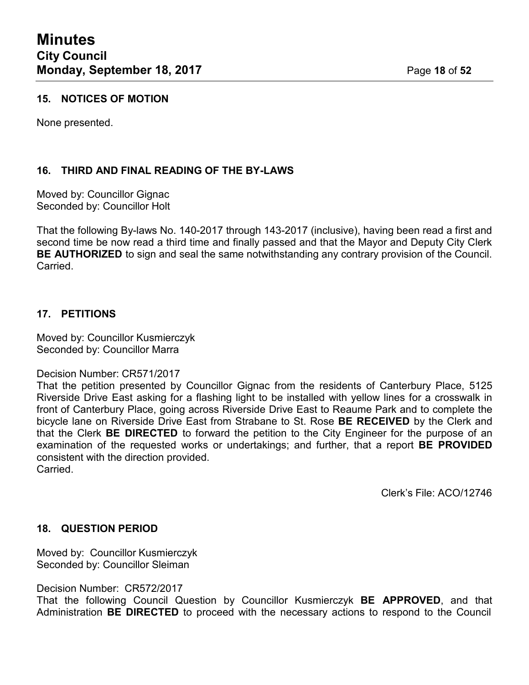## **15. NOTICES OF MOTION**

None presented.

## **16. THIRD AND FINAL READING OF THE BY-LAWS**

Moved by: Councillor Gignac Seconded by: Councillor Holt

That the following By-laws No. 140-2017 through 143-2017 (inclusive), having been read a first and second time be now read a third time and finally passed and that the Mayor and Deputy City Clerk **BE AUTHORIZED** to sign and seal the same notwithstanding any contrary provision of the Council. Carried.

## **17. PETITIONS**

Moved by: Councillor Kusmierczyk Seconded by: Councillor Marra

### Decision Number: CR571/2017

That the petition presented by Councillor Gignac from the residents of Canterbury Place, 5125 Riverside Drive East asking for a flashing light to be installed with yellow lines for a crosswalk in front of Canterbury Place, going across Riverside Drive East to Reaume Park and to complete the bicycle lane on Riverside Drive East from Strabane to St. Rose **BE RECEIVED** by the Clerk and that the Clerk **BE DIRECTED** to forward the petition to the City Engineer for the purpose of an examination of the requested works or undertakings; and further, that a report **BE PROVIDED** consistent with the direction provided. Carried.

Clerk's File: ACO/12746

### **18. QUESTION PERIOD**

Moved by: Councillor Kusmierczyk Seconded by: Councillor Sleiman

Decision Number: CR572/2017

That the following Council Question by Councillor Kusmierczyk **BE APPROVED**, and that Administration **BE DIRECTED** to proceed with the necessary actions to respond to the Council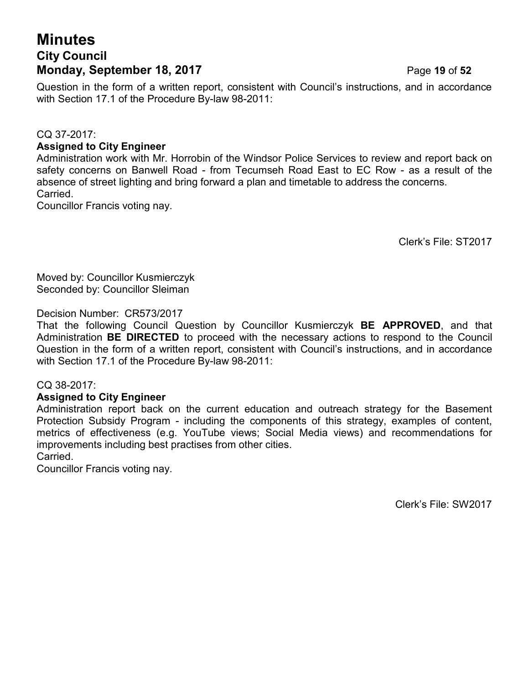## **Minutes City Council Monday, September 18, 2017** Page 19 of 52

Question in the form of a written report, consistent with Council's instructions, and in accordance with Section 17.1 of the Procedure By-law 98-2011:

## CQ 37-2017:

## **Assigned to City Engineer**

Administration work with Mr. Horrobin of the Windsor Police Services to review and report back on safety concerns on Banwell Road - from Tecumseh Road East to EC Row - as a result of the absence of street lighting and bring forward a plan and timetable to address the concerns. Carried.

Councillor Francis voting nay.

Clerk's File: ST2017

Moved by: Councillor Kusmierczyk Seconded by: Councillor Sleiman

## Decision Number: CR573/2017

That the following Council Question by Councillor Kusmierczyk **BE APPROVED**, and that Administration **BE DIRECTED** to proceed with the necessary actions to respond to the Council Question in the form of a written report, consistent with Council's instructions, and in accordance with Section 17.1 of the Procedure By-law 98-2011:

## CQ 38-2017:

## **Assigned to City Engineer**

Administration report back on the current education and outreach strategy for the Basement Protection Subsidy Program - including the components of this strategy, examples of content, metrics of effectiveness (e.g. YouTube views; Social Media views) and recommendations for improvements including best practises from other cities. Carried.

Councillor Francis voting nay.

Clerk's File: SW2017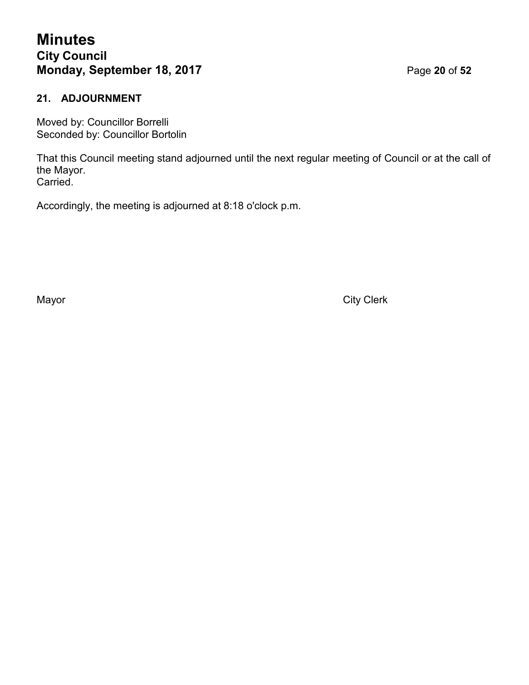## **Minutes City Council Monday, September 18, 2017** Page **20** of **52**

## **21. ADJOURNMENT**

Moved by: Councillor Borrelli Seconded by: Councillor Bortolin

That this Council meeting stand adjourned until the next regular meeting of Council or at the call of the Mayor. Carried.

Accordingly, the meeting is adjourned at 8:18 o'clock p.m.

Mayor **Mayor** City Clerk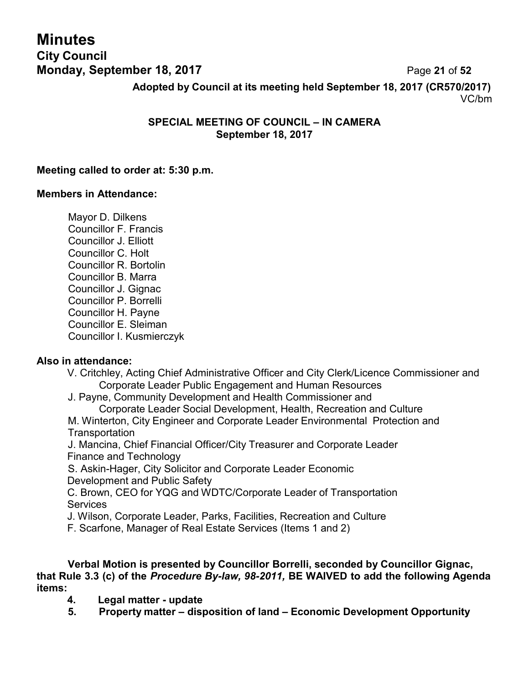## **Minutes City Council Monday, September 18, 2017** Page 21 of 52

**Adopted by Council at its meeting held September 18, 2017 (CR570/2017)** VC/bm

## **SPECIAL MEETING OF COUNCIL – IN CAMERA September 18, 2017**

## **Meeting called to order at: 5:30 p.m.**

## **Members in Attendance:**

Mayor D. Dilkens Councillor F. Francis Councillor J. Elliott Councillor C. Holt Councillor R. Bortolin Councillor B. Marra Councillor J. Gignac Councillor P. Borrelli Councillor H. Payne Councillor E. Sleiman Councillor I. Kusmierczyk

## **Also in attendance:**

- V. Critchley, Acting Chief Administrative Officer and City Clerk/Licence Commissioner and Corporate Leader Public Engagement and Human Resources
- J. Payne, Community Development and Health Commissioner and

Corporate Leader Social Development, Health, Recreation and Culture M. Winterton, City Engineer and Corporate Leader Environmental Protection and **Transportation** 

J. Mancina, Chief Financial Officer/City Treasurer and Corporate Leader Finance and Technology

S. Askin-Hager, City Solicitor and Corporate Leader Economic Development and Public Safety

C. Brown, CEO for YQG and WDTC/Corporate Leader of Transportation **Services** 

J. Wilson, Corporate Leader, Parks, Facilities, Recreation and Culture

F. Scarfone, Manager of Real Estate Services (Items 1 and 2)

**Verbal Motion is presented by Councillor Borrelli, seconded by Councillor Gignac, that Rule 3.3 (c) of the** *Procedure By-law, 98-2011,* **BE WAIVED to add the following Agenda items:**

- **4. Legal matter - update**
- **5. Property matter – disposition of land – Economic Development Opportunity**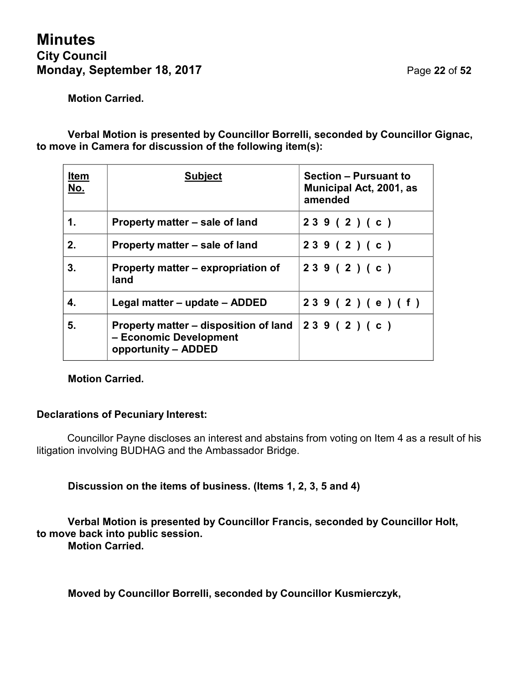## **Minutes City Council Monday, September 18, 2017** Page 22 of 52

**Motion Carried.**

**Verbal Motion is presented by Councillor Borrelli, seconded by Councillor Gignac, to move in Camera for discussion of the following item(s):**

| <b>Item</b><br>No. | <b>Subject</b>                                                                         | <b>Section - Pursuant to</b><br>Municipal Act, 2001, as<br>amended |
|--------------------|----------------------------------------------------------------------------------------|--------------------------------------------------------------------|
| 1.                 | Property matter – sale of land                                                         | 239(2)(c)                                                          |
| 2.                 | Property matter – sale of land                                                         | 239(2)(c)                                                          |
| 3.                 | Property matter – expropriation of<br>land                                             | 239(2)(c)                                                          |
| 4.                 | Legal matter – update – ADDED                                                          | 239 (2) (e) (f)                                                    |
| 5.                 | Property matter – disposition of land<br>- Economic Development<br>opportunity - ADDED | 239(2)(c)                                                          |

## **Motion Carried.**

## **Declarations of Pecuniary Interest:**

Councillor Payne discloses an interest and abstains from voting on Item 4 as a result of his litigation involving BUDHAG and the Ambassador Bridge.

**Discussion on the items of business. (Items 1, 2, 3, 5 and 4)**

**Verbal Motion is presented by Councillor Francis, seconded by Councillor Holt, to move back into public session. Motion Carried.**

**Moved by Councillor Borrelli, seconded by Councillor Kusmierczyk,**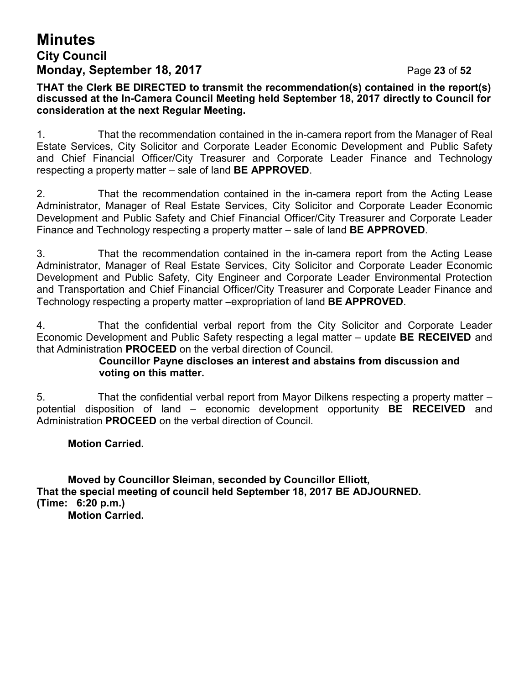## **Minutes City Council Monday, September 18, 2017** Page 23 of 52

**THAT the Clerk BE DIRECTED to transmit the recommendation(s) contained in the report(s) discussed at the In-Camera Council Meeting held September 18, 2017 directly to Council for consideration at the next Regular Meeting.**

1. That the recommendation contained in the in-camera report from the Manager of Real Estate Services, City Solicitor and Corporate Leader Economic Development and Public Safety and Chief Financial Officer/City Treasurer and Corporate Leader Finance and Technology respecting a property matter – sale of land **BE APPROVED**.

2. That the recommendation contained in the in-camera report from the Acting Lease Administrator, Manager of Real Estate Services, City Solicitor and Corporate Leader Economic Development and Public Safety and Chief Financial Officer/City Treasurer and Corporate Leader Finance and Technology respecting a property matter – sale of land **BE APPROVED**.

3. That the recommendation contained in the in-camera report from the Acting Lease Administrator, Manager of Real Estate Services, City Solicitor and Corporate Leader Economic Development and Public Safety, City Engineer and Corporate Leader Environmental Protection and Transportation and Chief Financial Officer/City Treasurer and Corporate Leader Finance and Technology respecting a property matter –expropriation of land **BE APPROVED**.

4. That the confidential verbal report from the City Solicitor and Corporate Leader Economic Development and Public Safety respecting a legal matter – update **BE RECEIVED** and that Administration **PROCEED** on the verbal direction of Council.

## **Councillor Payne discloses an interest and abstains from discussion and voting on this matter.**

5. That the confidential verbal report from Mayor Dilkens respecting a property matter – potential disposition of land – economic development opportunity **BE RECEIVED** and Administration **PROCEED** on the verbal direction of Council.

**Motion Carried.**

**Moved by Councillor Sleiman, seconded by Councillor Elliott, That the special meeting of council held September 18, 2017 BE ADJOURNED. (Time: 6:20 p.m.) Motion Carried.**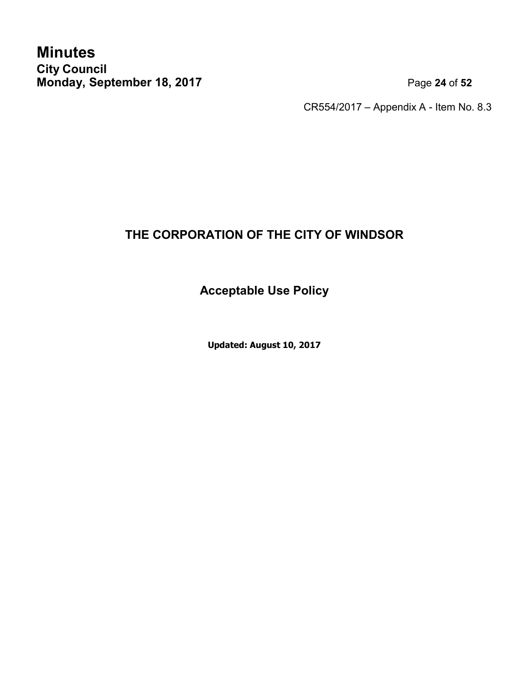**Minutes City Council Monday, September 18, 2017** Page 24 of 52

CR554/2017 – Appendix A - Item No. 8.3

## **THE CORPORATION OF THE CITY OF WINDSOR**

**Acceptable Use Policy**

**Updated: August 10, 2017**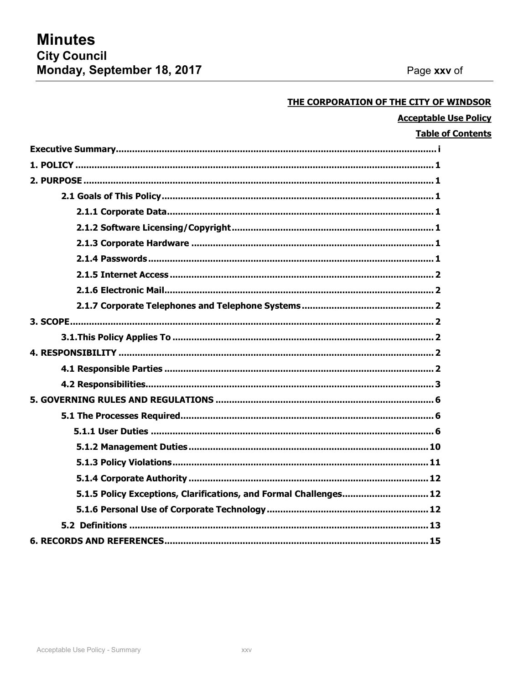## THE CORPORATION OF THE CITY OF WINDSOR

## **Acceptable Use Policy**

## **Table of Contents**

| 5.1.5 Policy Exceptions, Clarifications, and Formal Challenges 12 |
|-------------------------------------------------------------------|
|                                                                   |
|                                                                   |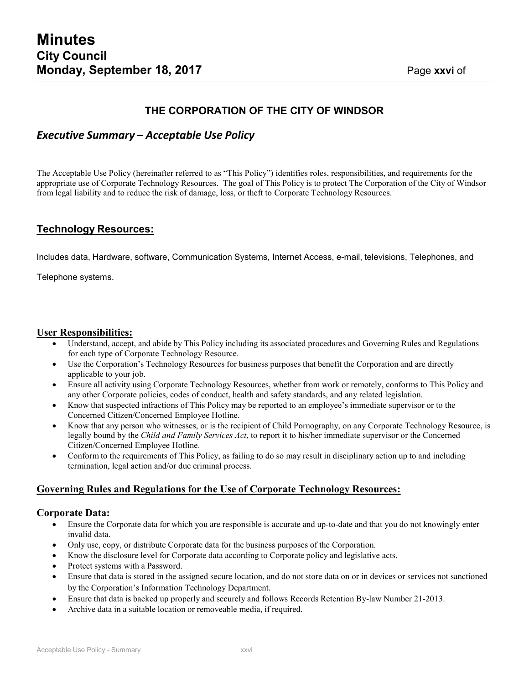**52**

## **THE CORPORATION OF THE CITY OF WINDSOR**

## *Executive Summary – Acceptable Use Policy*

The Acceptable Use Policy (hereinafter referred to as "This Policy") identifies roles, responsibilities, and requirements for the appropriate use of Corporate Technology Resources. The goal of This Policy is to protect The Corporation of the City of Windsor from legal liability and to reduce the risk of damage, loss, or theft to Corporate Technology Resources.

#### **Technology Resources:**

Includes data, Hardware, software, Communication Systems, Internet Access, e-mail, televisions, Telephones, and

Telephone systems.

#### **User Responsibilities:**

- Understand, accept, and abide by This Policy including its associated procedures and Governing Rules and Regulations for each type of Corporate Technology Resource.
- Use the Corporation's Technology Resources for business purposes that benefit the Corporation and are directly applicable to your job.
- Ensure all activity using Corporate Technology Resources, whether from work or remotely, conforms to This Policy and any other Corporate policies, codes of conduct, health and safety standards, and any related legislation.
- Know that suspected infractions of This Policy may be reported to an employee's immediate supervisor or to the Concerned Citizen/Concerned Employee Hotline.
- Know that any person who witnesses, or is the recipient of Child Pornography, on any Corporate Technology Resource, is legally bound by the *Child and Family Services Act*, to report it to his/her immediate supervisor or the Concerned Citizen/Concerned Employee Hotline.
- Conform to the requirements of This Policy, as failing to do so may result in disciplinary action up to and including termination, legal action and/or due criminal process.

### **Governing Rules and Regulations for the Use of Corporate Technology Resources:**

#### **Corporate Data:**

- Ensure the Corporate data for which you are responsible is accurate and up-to-date and that you do not knowingly enter invalid data.
- Only use, copy, or distribute Corporate data for the business purposes of the Corporation.
- Know the disclosure level for Corporate data according to Corporate policy and legislative acts.
- Protect systems with a Password.
- Ensure that data is stored in the assigned secure location, and do not store data on or in devices or services not sanctioned by the Corporation's Information Technology Department.
- Ensure that data is backed up properly and securely and follows Records Retention By-law Number 21-2013.
- Archive data in a suitable location or removeable media, if required.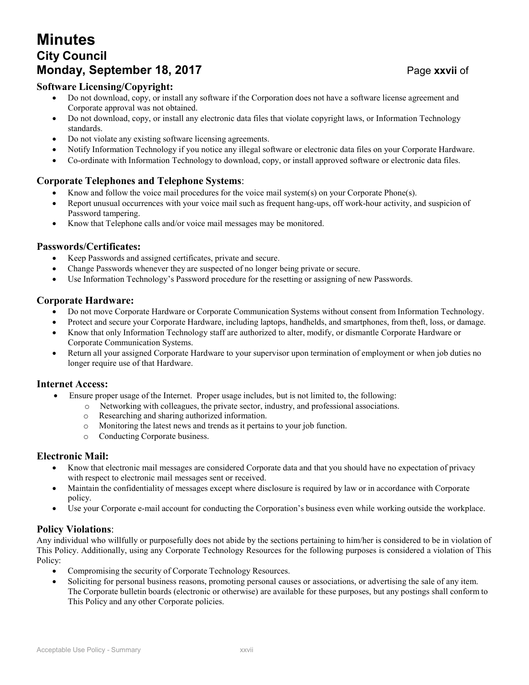## **Minutes City Council Monday, September 18, 2017** Page xxvii of

## **Software Licensing/Copyright:**

- Do not download, copy, or install any software if the Corporation does not have a software license agreement and Corporate approval was not obtained.
- Do not download, copy, or install any electronic data files that violate copyright laws, or Information Technology standards.
- Do not violate any existing software licensing agreements.
- Notify Information Technology if you notice any illegal software or electronic data files on your Corporate Hardware.
- Co-ordinate with Information Technology to download, copy, or install approved software or electronic data files.

## **Corporate Telephones and Telephone Systems**:

- Know and follow the voice mail procedures for the voice mail system(s) on your Corporate Phone(s).
- Report unusual occurrences with your voice mail such as frequent hang-ups, off work-hour activity, and suspicion of Password tampering.
- Know that Telephone calls and/or voice mail messages may be monitored.

### **Passwords/Certificates:**

- Keep Passwords and assigned certificates, private and secure.
- Change Passwords whenever they are suspected of no longer being private or secure.
- Use Information Technology's Password procedure for the resetting or assigning of new Passwords.

#### **Corporate Hardware:**

- Do not move Corporate Hardware or Corporate Communication Systems without consent from Information Technology.
- Protect and secure your Corporate Hardware, including laptops, handhelds, and smartphones, from theft, loss, or damage.
- Know that only Information Technology staff are authorized to alter, modify, or dismantle Corporate Hardware or Corporate Communication Systems.
- Return all your assigned Corporate Hardware to your supervisor upon termination of employment or when job duties no longer require use of that Hardware.

#### **Internet Access:**

- Ensure proper usage of the Internet. Proper usage includes, but is not limited to, the following:
	- o Networking with colleagues, the private sector, industry, and professional associations.
	- o Researching and sharing authorized information.
	- o Monitoring the latest news and trends as it pertains to your job function.
	- o Conducting Corporate business.

### **Electronic Mail:**

- Know that electronic mail messages are considered Corporate data and that you should have no expectation of privacy with respect to electronic mail messages sent or received.
- Maintain the confidentiality of messages except where disclosure is required by law or in accordance with Corporate policy.
- Use your Corporate e-mail account for conducting the Corporation's business even while working outside the workplace.

### **Policy Violations**:

Any individual who willfully or purposefully does not abide by the sections pertaining to him/her is considered to be in violation of This Policy. Additionally, using any Corporate Technology Resources for the following purposes is considered a violation of This Policy:

- Compromising the security of Corporate Technology Resources.
- Soliciting for personal business reasons, promoting personal causes or associations, or advertising the sale of any item. The Corporate bulletin boards (electronic or otherwise) are available for these purposes, but any postings shall conform to This Policy and any other Corporate policies.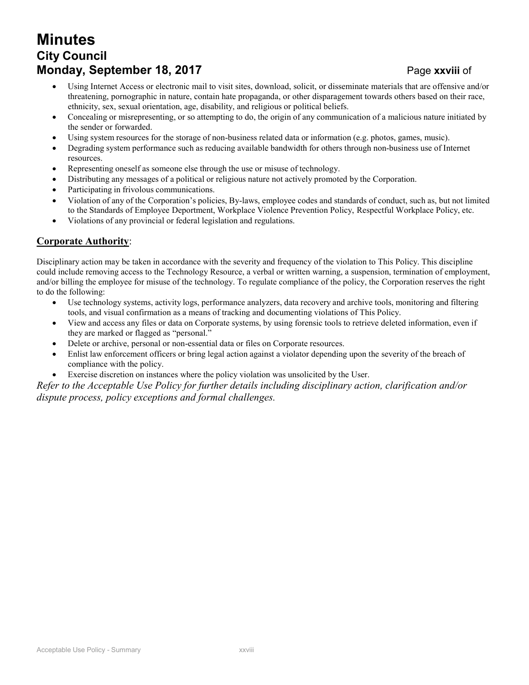## **Minutes City Council Monday, September 18, 2017** Page xxviii of

- **52** Using Internet Access or electronic mail to visit sites, download, solicit, or disseminate materials that are offensive and/or threatening, pornographic in nature, contain hate propaganda, or other disparagement towards others based on their race, ethnicity, sex, sexual orientation, age, disability, and religious or political beliefs.
- Concealing or misrepresenting, or so attempting to do, the origin of any communication of a malicious nature initiated by the sender or forwarded.
- Using system resources for the storage of non-business related data or information (e.g. photos, games, music).
- Degrading system performance such as reducing available bandwidth for others through non-business use of Internet resources.
- Representing oneself as someone else through the use or misuse of technology.
- Distributing any messages of a political or religious nature not actively promoted by the Corporation.
- Participating in frivolous communications.
- Violation of any of the Corporation's policies, By-laws, employee codes and standards of conduct, such as, but not limited to the Standards of Employee Deportment, Workplace Violence Prevention Policy, Respectful Workplace Policy, etc.
- Violations of any provincial or federal legislation and regulations.

### **Corporate Authority**:

Disciplinary action may be taken in accordance with the severity and frequency of the violation to This Policy. This discipline could include removing access to the Technology Resource, a verbal or written warning, a suspension, termination of employment, and/or billing the employee for misuse of the technology. To regulate compliance of the policy, the Corporation reserves the right to do the following:

- Use technology systems, activity logs, performance analyzers, data recovery and archive tools, monitoring and filtering tools, and visual confirmation as a means of tracking and documenting violations of This Policy.
- View and access any files or data on Corporate systems, by using forensic tools to retrieve deleted information, even if they are marked or flagged as "personal."
- Delete or archive, personal or non-essential data or files on Corporate resources.
- Enlist law enforcement officers or bring legal action against a violator depending upon the severity of the breach of compliance with the policy.
- Exercise discretion on instances where the policy violation was unsolicited by the User.

*Refer to the Acceptable Use Policy for further details including disciplinary action, clarification and/or dispute process, policy exceptions and formal challenges.*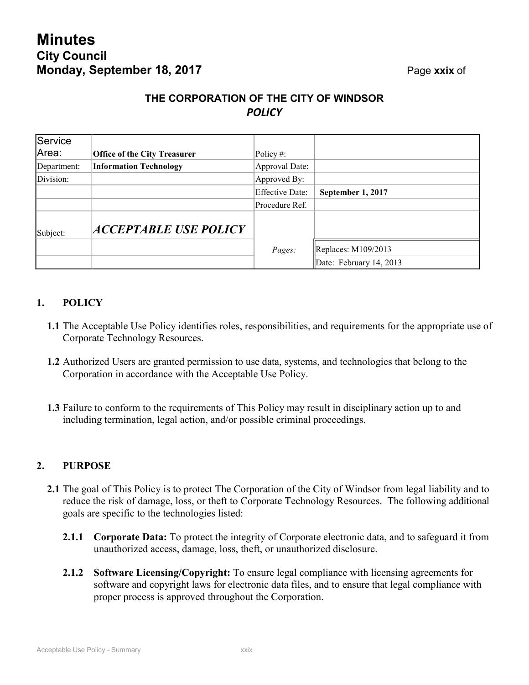## **THE CORPORATION OF THE CITY OF WINDSOR** *POLICY*

| Service     |                                     |                        |                         |
|-------------|-------------------------------------|------------------------|-------------------------|
| Area:       | <b>Office of the City Treasurer</b> | Policy#:               |                         |
| Department: | <b>Information Technology</b>       | Approval Date:         |                         |
| Division:   |                                     | Approved By:           |                         |
|             |                                     | <b>Effective Date:</b> | September 1, 2017       |
|             |                                     | Procedure Ref.         |                         |
| Subject:    | ACCEPTABLE USE POLICY               |                        |                         |
|             |                                     | Pages:                 | Replaces: $M109/2013$   |
|             |                                     |                        | Date: February 14, 2013 |

## <span id="page-28-0"></span>**1. POLICY**

- **1.1** The Acceptable Use Policy identifies roles, responsibilities, and requirements for the appropriate use of Corporate Technology Resources.
- **1.2** Authorized Users are granted permission to use data, systems, and technologies that belong to the Corporation in accordance with the Acceptable Use Policy.
- **1.3** Failure to conform to the requirements of This Policy may result in disciplinary action up to and including termination, legal action, and/or possible criminal proceedings.

## <span id="page-28-1"></span>**2. PURPOSE**

- **2.1** The goal of This Policy is to protect The Corporation of the City of Windsor from legal liability and to reduce the risk of damage, loss, or theft to Corporate Technology Resources. The following additional goals are specific to the technologies listed:
	- **2.1.1 Corporate Data:** To protect the integrity of Corporate electronic data, and to safeguard it from unauthorized access, damage, loss, theft, or unauthorized disclosure.
	- **2.1.2 Software Licensing/Copyright:** To ensure legal compliance with licensing agreements for software and copyright laws for electronic data files, and to ensure that legal compliance with proper process is approved throughout the Corporation.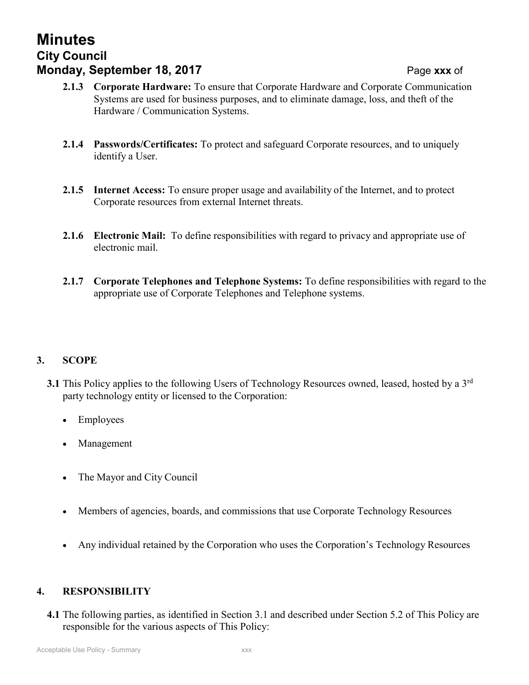#### Acceptable Use Policy - Summary

## **Minutes City Council Monday, September 18, 2017** Page **xxx** of

- **52 2.1.3 Corporate Hardware:** To ensure that Corporate Hardware and Corporate Communication Systems are used for business purposes, and to eliminate damage, loss, and theft of the Hardware / Communication Systems.
- **2.1.4 Passwords/Certificates:** To protect and safeguard Corporate resources, and to uniquely identify a User.
- **2.1.5 Internet Access:** To ensure proper usage and availability of the Internet, and to protect Corporate resources from external Internet threats.
- **2.1.6 Electronic Mail:** To define responsibilities with regard to privacy and appropriate use of electronic mail.
- **2.1.7 Corporate Telephones and Telephone Systems:** To define responsibilities with regard to the appropriate use of Corporate Telephones and Telephone systems.

## <span id="page-29-0"></span>**3. SCOPE**

- **3.1** This Policy applies to the following Users of Technology Resources owned, leased, hosted by a 3<sup>rd</sup> party technology entity or licensed to the Corporation:
	- **Employees**
	- **Management**
	- The Mayor and City Council
	- Members of agencies, boards, and commissions that use Corporate Technology Resources
	- Any individual retained by the Corporation who uses the Corporation's Technology Resources

## <span id="page-29-1"></span>**4. RESPONSIBILITY**

**4.1** The following parties, as identified in Section 3.1 and described under Section 5.2 of This Policy are responsible for the various aspects of This Policy: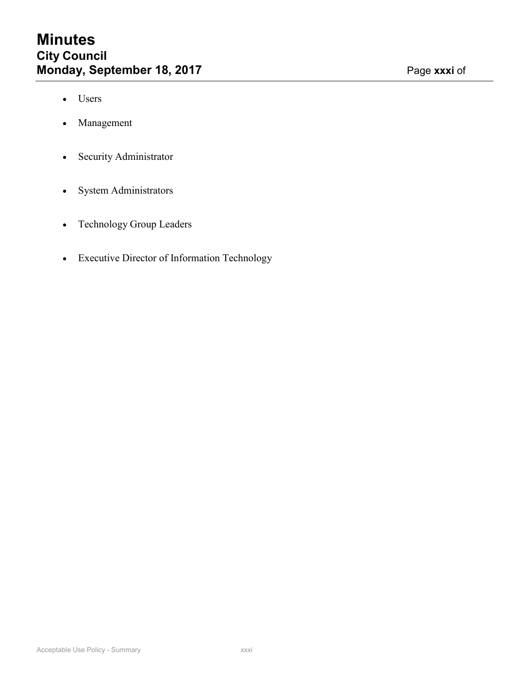**52**

- Users
- Management
- Security Administrator
- System Administrators
- Technology Group Leaders
- Executive Director of Information Technology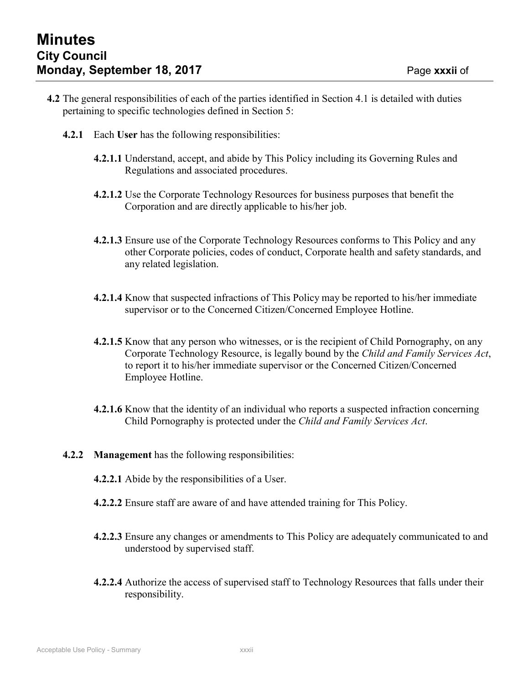**52**

- **4.2** The general responsibilities of each of the parties identified in Section 4.1 is detailed with duties pertaining to specific technologies defined in Section 5:
	- **4.2.1** Each **User** has the following responsibilities:
		- **4.2.1.1** Understand, accept, and abide by This Policy including its Governing Rules and Regulations and associated procedures.
		- **4.2.1.2** Use the Corporate Technology Resources for business purposes that benefit the Corporation and are directly applicable to his/her job.
		- **4.2.1.3** Ensure use of the Corporate Technology Resources conforms to This Policy and any other Corporate policies, codes of conduct, Corporate health and safety standards, and any related legislation.
		- **4.2.1.4** Know that suspected infractions of This Policy may be reported to his/her immediate supervisor or to the Concerned Citizen/Concerned Employee Hotline.
		- **4.2.1.5** Know that any person who witnesses, or is the recipient of Child Pornography, on any Corporate Technology Resource, is legally bound by the *Child and Family Services Act*, to report it to his/her immediate supervisor or the Concerned Citizen/Concerned Employee Hotline.
		- **4.2.1.6** Know that the identity of an individual who reports a suspected infraction concerning Child Pornography is protected under the *Child and Family Services Act*.
	- **4.2.2 Management** has the following responsibilities:
		- **4.2.2.1** Abide by the responsibilities of a User.
		- **4.2.2.2** Ensure staff are aware of and have attended training for This Policy.
		- **4.2.2.3** Ensure any changes or amendments to This Policy are adequately communicated to and understood by supervised staff.
		- **4.2.2.4** Authorize the access of supervised staff to Technology Resources that falls under their responsibility.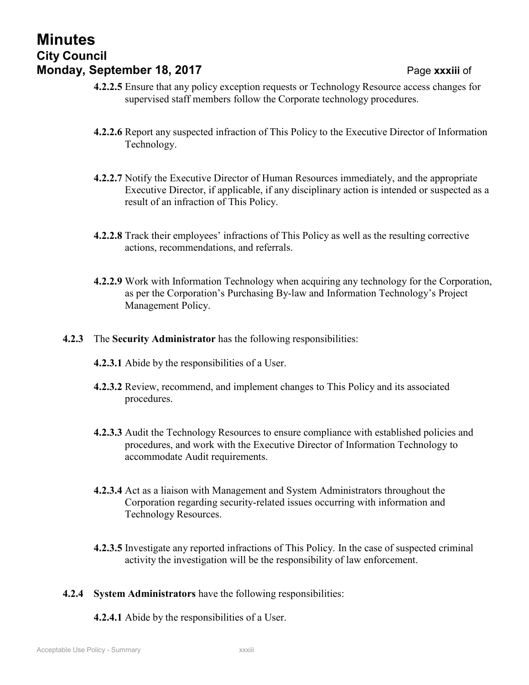## **Minutes City Council Monday, September 18, 2017 Page xxxiii of**

- **52 4.2.2.5** Ensure that any policy exception requests or Technology Resource access changes for supervised staff members follow the Corporate technology procedures.
- **4.2.2.6** Report any suspected infraction of This Policy to the Executive Director of Information Technology.
- **4.2.2.7** Notify the Executive Director of Human Resources immediately, and the appropriate Executive Director, if applicable, if any disciplinary action is intended or suspected as a result of an infraction of This Policy.
- **4.2.2.8** Track their employees' infractions of This Policy as well as the resulting corrective actions, recommendations, and referrals.
- **4.2.2.9** Work with Information Technology when acquiring any technology for the Corporation, as per the Corporation's Purchasing By-law and Information Technology's Project Management Policy.
- **4.2.3** The **Security Administrator** has the following responsibilities:
	- **4.2.3.1** Abide by the responsibilities of a User.
	- **4.2.3.2** Review, recommend, and implement changes to This Policy and its associated procedures.
	- **4.2.3.3** Audit the Technology Resources to ensure compliance with established policies and procedures, and work with the Executive Director of Information Technology to accommodate Audit requirements.
	- **4.2.3.4** Act as a liaison with Management and System Administrators throughout the Corporation regarding security-related issues occurring with information and Technology Resources.
	- **4.2.3.5** Investigate any reported infractions of This Policy. In the case of suspected criminal activity the investigation will be the responsibility of law enforcement.
- **4.2.4 System Administrators** have the following responsibilities:
	- **4.2.4.1** Abide by the responsibilities of a User.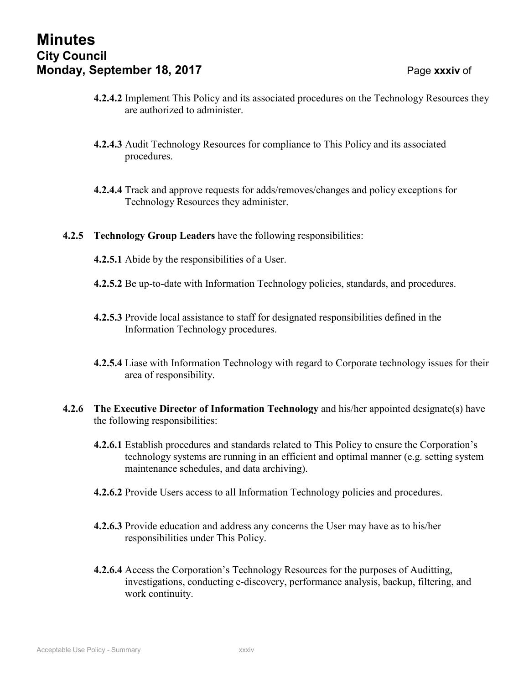## **Minutes City Council Monday, September 18, 2017 Page xxxiv of**

- **4.2.4.2** Implement This Policy and its associated procedures on the Technology Resources they are authorized to administer.
- **4.2.4.3** Audit Technology Resources for compliance to This Policy and its associated procedures.
- **4.2.4.4** Track and approve requests for adds/removes/changes and policy exceptions for Technology Resources they administer.
- **4.2.5 Technology Group Leaders** have the following responsibilities:
	- **4.2.5.1** Abide by the responsibilities of a User.
	- **4.2.5.2** Be up-to-date with Information Technology policies, standards, and procedures.
	- **4.2.5.3** Provide local assistance to staff for designated responsibilities defined in the Information Technology procedures.
	- **4.2.5.4** Liase with Information Technology with regard to Corporate technology issues for their area of responsibility.
- **4.2.6 The Executive Director of Information Technology** and his/her appointed designate(s) have the following responsibilities:
	- **4.2.6.1** Establish procedures and standards related to This Policy to ensure the Corporation's technology systems are running in an efficient and optimal manner (e.g. setting system maintenance schedules, and data archiving).
	- **4.2.6.2** Provide Users access to all Information Technology policies and procedures.
	- **4.2.6.3** Provide education and address any concerns the User may have as to his/her responsibilities under This Policy.
	- **4.2.6.4** Access the Corporation's Technology Resources for the purposes of Auditting, investigations, conducting e-discovery, performance analysis, backup, filtering, and work continuity.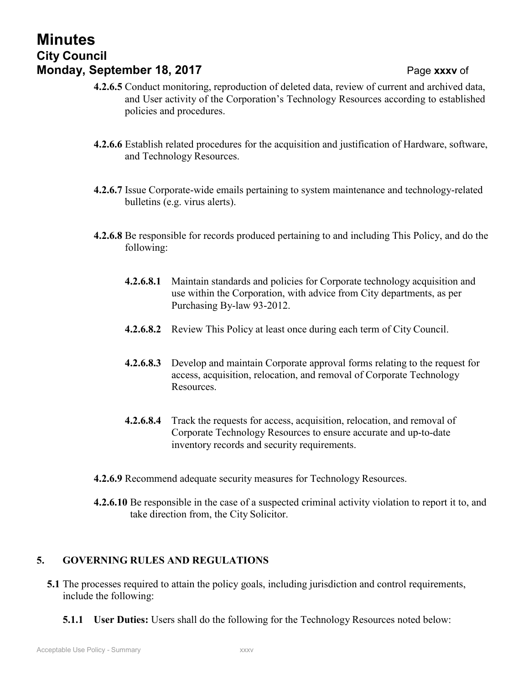**4.2.6.8.1** Maintain standards and policies for Corporate technology acquisition and use within the Corporation, with advice from City departments, as per Purchasing By-law 93-2012.

and User activity of the Corporation's Technology Resources according to established

**4.2.6.6** Establish related procedures for the acquisition and justification of Hardware, software,

**4.2.6.7** Issue Corporate-wide emails pertaining to system maintenance and technology-related

**4.2.6.8** Be responsible for records produced pertaining to and including This Policy, and do the

- **4.2.6.8.2** Review This Policy at least once during each term of City Council.
- **4.2.6.8.3** Develop and maintain Corporate approval forms relating to the request for access, acquisition, relocation, and removal of Corporate Technology Resources.
- **4.2.6.8.4** Track the requests for access, acquisition, relocation, and removal of Corporate Technology Resources to ensure accurate and up-to-date inventory records and security requirements.
- **4.2.6.9** Recommend adequate security measures for Technology Resources.
- **4.2.6.10** Be responsible in the case of a suspected criminal activity violation to report it to, and take direction from, the City Solicitor.

## <span id="page-34-0"></span>**5. GOVERNING RULES AND REGULATIONS**

- **5.1** The processes required to attain the policy goals, including jurisdiction and control requirements, include the following:
	- **5.1.1 User Duties:** Users shall do the following for the Technology Resources noted below:

## **Minutes City Council Monday, September 18, 2017 Page xxxv** of **52 4.2.6.5** Conduct monitoring, reproduction of deleted data, review of current and archived data,

policies and procedures.

and Technology Resources.

bulletins (e.g. virus alerts).

following: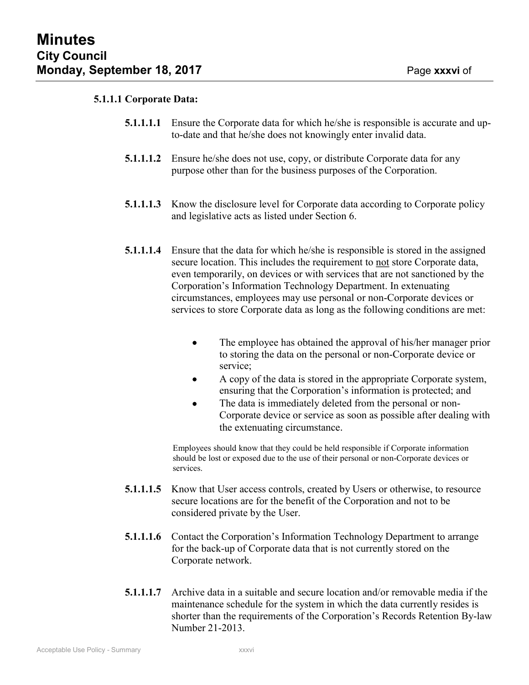**52**

#### **5.1.1.1 Corporate Data:**

- **5.1.1.1.1** Ensure the Corporate data for which he/she is responsible is accurate and upto-date and that he/she does not knowingly enter invalid data.
- **5.1.1.1.2** Ensure he/she does not use, copy, or distribute Corporate data for any purpose other than for the business purposes of the Corporation.
- **5.1.1.1.3** Know the disclosure level for Corporate data according to Corporate policy and legislative acts as listed under Section 6.
- **5.1.1.1.4** Ensure that the data for which he/she is responsible is stored in the assigned secure location. This includes the requirement to not store Corporate data, even temporarily, on devices or with services that are not sanctioned by the Corporation's Information Technology Department. In extenuating circumstances, employees may use personal or non-Corporate devices or services to store Corporate data as long as the following conditions are met:
	- The employee has obtained the approval of his/her manager prior to storing the data on the personal or non-Corporate device or service;
	- A copy of the data is stored in the appropriate Corporate system, ensuring that the Corporation's information is protected; and
	- The data is immediately deleted from the personal or non-Corporate device or service as soon as possible after dealing with the extenuating circumstance.

Employees should know that they could be held responsible if Corporate information should be lost or exposed due to the use of their personal or non-Corporate devices or services.

- **5.1.1.1.5** Know that User access controls, created by Users or otherwise, to resource secure locations are for the benefit of the Corporation and not to be considered private by the User.
- **5.1.1.1.6** Contact the Corporation's Information Technology Department to arrange for the back-up of Corporate data that is not currently stored on the Corporate network.
- **5.1.1.1.7** Archive data in a suitable and secure location and/or removable media if the maintenance schedule for the system in which the data currently resides is shorter than the requirements of the Corporation's Records Retention By-law Number 21-2013.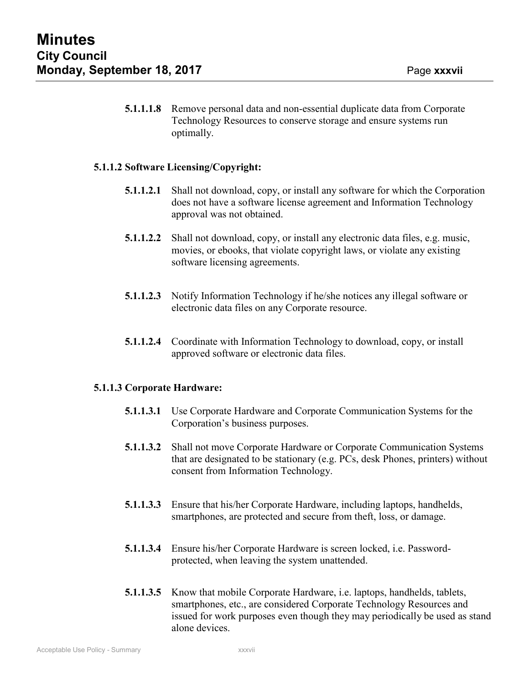of **52**

**5.1.1.1.8** Remove personal data and non-essential duplicate data from Corporate Technology Resources to conserve storage and ensure systems run optimally.

## **5.1.1.2 Software Licensing/Copyright:**

- **5.1.1.2.1** Shall not download, copy, or install any software for which the Corporation does not have a software license agreement and Information Technology approval was not obtained.
- **5.1.1.2.2** Shall not download, copy, or install any electronic data files, e.g. music, movies, or ebooks, that violate copyright laws, or violate any existing software licensing agreements.
- **5.1.1.2.3** Notify Information Technology if he/she notices any illegal software or electronic data files on any Corporate resource.
- **5.1.1.2.4** Coordinate with Information Technology to download, copy, or install approved software or electronic data files.

### **5.1.1.3 Corporate Hardware:**

- **5.1.1.3.1** Use Corporate Hardware and Corporate Communication Systems for the Corporation's business purposes.
- **5.1.1.3.2** Shall not move Corporate Hardware or Corporate Communication Systems that are designated to be stationary (e.g. PCs, desk Phones, printers) without consent from Information Technology.
- **5.1.1.3.3** Ensure that his/her Corporate Hardware, including laptops, handhelds, smartphones, are protected and secure from theft, loss, or damage.
- **5.1.1.3.4** Ensure his/her Corporate Hardware is screen locked, i.e. Passwordprotected, when leaving the system unattended.
- **5.1.1.3.5** Know that mobile Corporate Hardware, i.e. laptops, handhelds, tablets, smartphones, etc., are considered Corporate Technology Resources and issued for work purposes even though they may periodically be used as stand alone devices.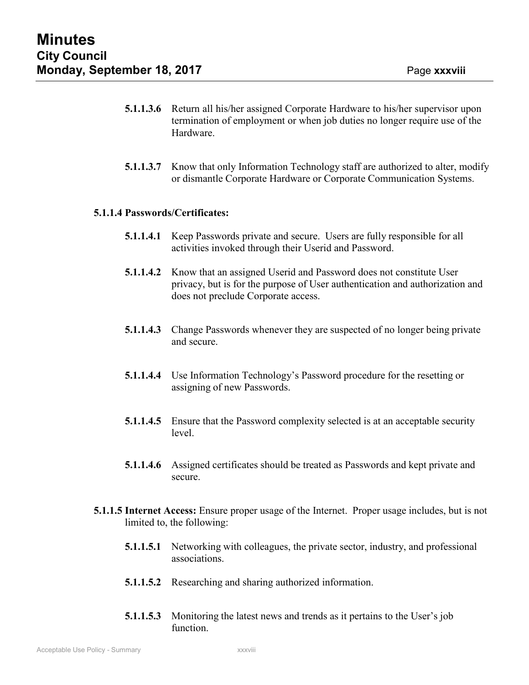of **52**

- **5.1.1.3.6** Return all his/her assigned Corporate Hardware to his/her supervisor upon termination of employment or when job duties no longer require use of the Hardware.
- **5.1.1.3.7** Know that only Information Technology staff are authorized to alter, modify or dismantle Corporate Hardware or Corporate Communication Systems.

### **5.1.1.4 Passwords/Certificates:**

- **5.1.1.4.1** Keep Passwords private and secure. Users are fully responsible for all activities invoked through their Userid and Password.
- **5.1.1.4.2** Know that an assigned Userid and Password does not constitute User privacy, but is for the purpose of User authentication and authorization and does not preclude Corporate access.
- **5.1.1.4.3** Change Passwords whenever they are suspected of no longer being private and secure.
- **5.1.1.4.4** Use Information Technology's Password procedure for the resetting or assigning of new Passwords.
- **5.1.1.4.5** Ensure that the Password complexity selected is at an acceptable security level.
- **5.1.1.4.6** Assigned certificates should be treated as Passwords and kept private and secure.
- **5.1.1.5 Internet Access:** Ensure proper usage of the Internet. Proper usage includes, but is not limited to, the following:
	- **5.1.1.5.1** Networking with colleagues, the private sector, industry, and professional associations.
	- **5.1.1.5.2** Researching and sharing authorized information.
	- **5.1.1.5.3** Monitoring the latest news and trends as it pertains to the User's job function.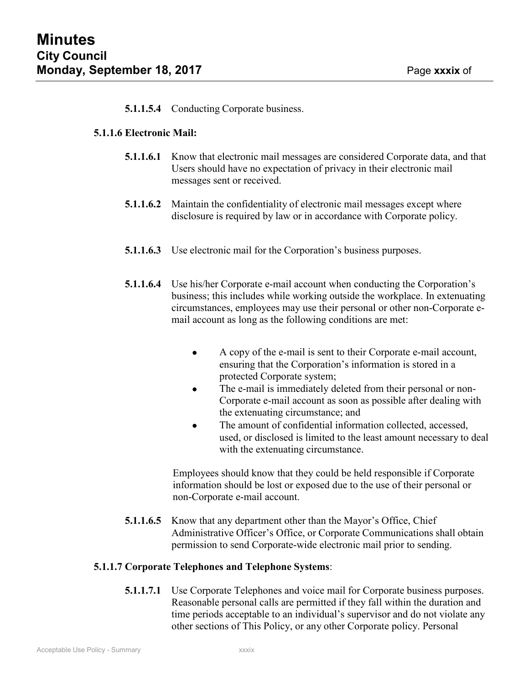**52**

## **5.1.1.5.4** Conducting Corporate business.

#### **5.1.1.6 Electronic Mail:**

- **5.1.1.6.1** Know that electronic mail messages are considered Corporate data, and that Users should have no expectation of privacy in their electronic mail messages sent or received.
- **5.1.1.6.2** Maintain the confidentiality of electronic mail messages except where disclosure is required by law or in accordance with Corporate policy.
- **5.1.1.6.3** Use electronic mail for the Corporation's business purposes.
- **5.1.1.6.4** Use his/her Corporate e-mail account when conducting the Corporation's business; this includes while working outside the workplace. In extenuating circumstances, employees may use their personal or other non-Corporate email account as long as the following conditions are met:
	- A copy of the e-mail is sent to their Corporate e-mail account, ensuring that the Corporation's information is stored in a protected Corporate system;
	- The e-mail is immediately deleted from their personal or non-Corporate e-mail account as soon as possible after dealing with the extenuating circumstance; and
	- The amount of confidential information collected, accessed, used, or disclosed is limited to the least amount necessary to deal with the extenuating circumstance.

Employees should know that they could be held responsible if Corporate information should be lost or exposed due to the use of their personal or non-Corporate e-mail account.

**5.1.1.6.5** Know that any department other than the Mayor's Office, Chief Administrative Officer's Office, or Corporate Communications shall obtain permission to send Corporate-wide electronic mail prior to sending.

#### **5.1.1.7 Corporate Telephones and Telephone Systems**:

**5.1.1.7.1** Use Corporate Telephones and voice mail for Corporate business purposes. Reasonable personal calls are permitted if they fall within the duration and time periods acceptable to an individual's supervisor and do not violate any other sections of This Policy, or any other Corporate policy. Personal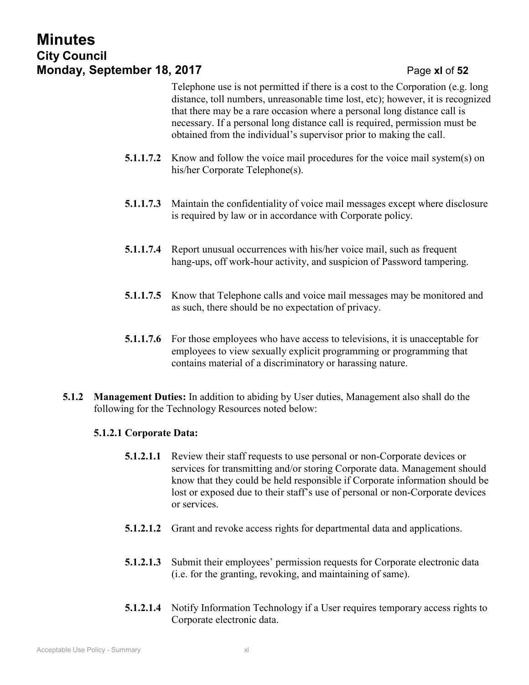## **Minutes City Council Monday, September 18, 2017 Page xl of 52**

Telephone use is not permitted if there is a cost to the Corporation (e.g. long distance, toll numbers, unreasonable time lost, etc); however, it is recognized that there may be a rare occasion where a personal long distance call is necessary. If a personal long distance call is required, permission must be obtained from the individual's supervisor prior to making the call.

- **5.1.1.7.2** Know and follow the voice mail procedures for the voice mail system(s) on his/her Corporate Telephone(s).
- **5.1.1.7.3** Maintain the confidentiality of voice mail messages except where disclosure is required by law or in accordance with Corporate policy.
- **5.1.1.7.4** Report unusual occurrences with his/her voice mail, such as frequent hang-ups, off work-hour activity, and suspicion of Password tampering.
- **5.1.1.7.5** Know that Telephone calls and voice mail messages may be monitored and as such, there should be no expectation of privacy.
- **5.1.1.7.6** For those employees who have access to televisions, it is unacceptable for employees to view sexually explicit programming or programming that contains material of a discriminatory or harassing nature.
- **5.1.2 Management Duties:** In addition to abiding by User duties, Management also shall do the following for the Technology Resources noted below:

## **5.1.2.1 Corporate Data:**

- **5.1.2.1.1** Review their staff requests to use personal or non-Corporate devices or services for transmitting and/or storing Corporate data. Management should know that they could be held responsible if Corporate information should be lost or exposed due to their staff's use of personal or non-Corporate devices or services.
- **5.1.2.1.2** Grant and revoke access rights for departmental data and applications.
- **5.1.2.1.3** Submit their employees' permission requests for Corporate electronic data (i.e. for the granting, revoking, and maintaining of same).
- **5.1.2.1.4** Notify Information Technology if a User requires temporary access rights to Corporate electronic data.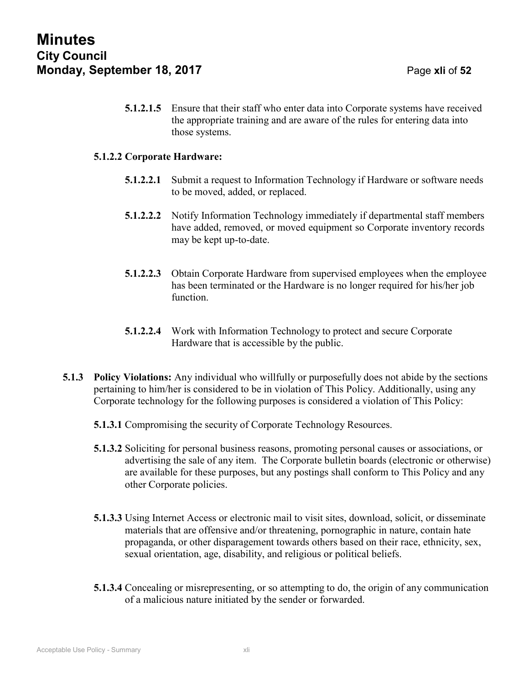**5.1.2.1.5** Ensure that their staff who enter data into Corporate systems have received the appropriate training and are aware of the rules for entering data into those systems.

#### **5.1.2.2 Corporate Hardware:**

- **5.1.2.2.1** Submit a request to Information Technology if Hardware or software needs to be moved, added, or replaced.
- **5.1.2.2.2** Notify Information Technology immediately if departmental staff members have added, removed, or moved equipment so Corporate inventory records may be kept up-to-date.
- **5.1.2.2.3** Obtain Corporate Hardware from supervised employees when the employee has been terminated or the Hardware is no longer required for his/her job function.
- **5.1.2.2.4** Work with Information Technology to protect and secure Corporate Hardware that is accessible by the public.
- **5.1.3 Policy Violations:** Any individual who willfully or purposefully does not abide by the sections pertaining to him/her is considered to be in violation of This Policy. Additionally, using any Corporate technology for the following purposes is considered a violation of This Policy:
	- **5.1.3.1** Compromising the security of Corporate Technology Resources.
	- **5.1.3.2** Soliciting for personal business reasons, promoting personal causes or associations, or advertising the sale of any item. The Corporate bulletin boards (electronic or otherwise) are available for these purposes, but any postings shall conform to This Policy and any other Corporate policies.
	- **5.1.3.3** Using Internet Access or electronic mail to visit sites, download, solicit, or disseminate materials that are offensive and/or threatening, pornographic in nature, contain hate propaganda, or other disparagement towards others based on their race, ethnicity, sex, sexual orientation, age, disability, and religious or political beliefs.
	- **5.1.3.4** Concealing or misrepresenting, or so attempting to do, the origin of any communication of a malicious nature initiated by the sender or forwarded.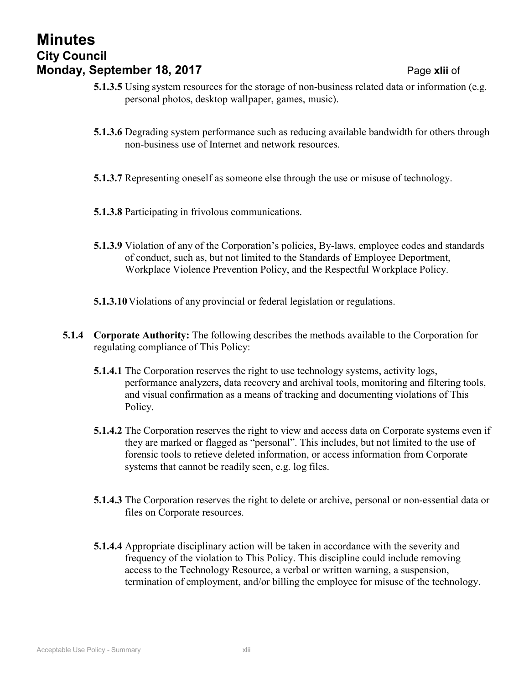## **Minutes City Council Monday, September 18, 2017 Page xlii of**

- **5.1.3.5** Using system resources for the storage of non-business related data or information (e.g. personal photos, desktop wallpaper, games, music).
- **5.1.3.6** Degrading system performance such as reducing available bandwidth for others through non-business use of Internet and network resources.
- **5.1.3.7** Representing oneself as someone else through the use or misuse of technology.
- **5.1.3.8** Participating in frivolous communications.
- **5.1.3.9** Violation of any of the Corporation's policies, By-laws, employee codes and standards of conduct, such as, but not limited to the Standards of Employee Deportment, Workplace Violence Prevention Policy, and the Respectful Workplace Policy.
- **5.1.3.10**Violations of any provincial or federal legislation or regulations.
- **5.1.4 Corporate Authority:** The following describes the methods available to the Corporation for regulating compliance of This Policy:
	- **5.1.4.1** The Corporation reserves the right to use technology systems, activity logs, performance analyzers, data recovery and archival tools, monitoring and filtering tools, and visual confirmation as a means of tracking and documenting violations of This Policy.
	- **5.1.4.2** The Corporation reserves the right to view and access data on Corporate systems even if they are marked or flagged as "personal". This includes, but not limited to the use of forensic tools to retieve deleted information, or access information from Corporate systems that cannot be readily seen, e.g. log files.
	- **5.1.4.3** The Corporation reserves the right to delete or archive, personal or non-essential data or files on Corporate resources.
	- **5.1.4.4** Appropriate disciplinary action will be taken in accordance with the severity and frequency of the violation to This Policy. This discipline could include removing access to the Technology Resource, a verbal or written warning, a suspension, termination of employment, and/or billing the employee for misuse of the technology.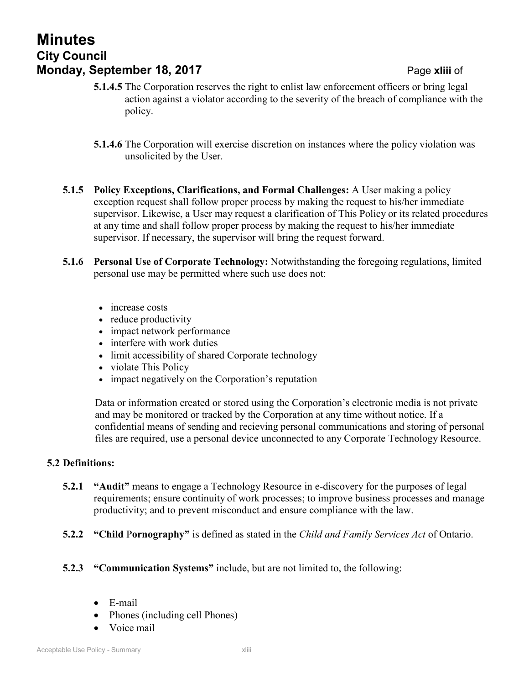## **Minutes City Council Monday, September 18, 2017 Page xliii of**

- **5.1.4.5** The Corporation reserves the right to enlist law enforcement officers or bring legal action against a violator according to the severity of the breach of compliance with the policy.
- **5.1.4.6** The Corporation will exercise discretion on instances where the policy violation was unsolicited by the User.
- **5.1.5 Policy Exceptions, Clarifications, and Formal Challenges:** A User making a policy exception request shall follow proper process by making the request to his/her immediate supervisor. Likewise, a User may request a clarification of This Policy or its related procedures at any time and shall follow proper process by making the request to his/her immediate supervisor. If necessary, the supervisor will bring the request forward.
- **5.1.6 Personal Use of Corporate Technology:** Notwithstanding the foregoing regulations, limited personal use may be permitted where such use does not:
	- increase costs
	- reduce productivity
	- impact network performance
	- interfere with work duties
	- limit accessibility of shared Corporate technology
	- violate This Policy
	- impact negatively on the Corporation's reputation

Data or information created or stored using the Corporation's electronic media is not private and may be monitored or tracked by the Corporation at any time without notice. If a confidential means of sending and recieving personal communications and storing of personal files are required, use a personal device unconnected to any Corporate Technology Resource.

### <span id="page-42-0"></span>**5.2 Definitions:**

- **5.2.1 "Audit"** means to engage a Technology Resource in e-discovery for the purposes of legal requirements; ensure continuity of work processes; to improve business processes and manage productivity; and to prevent misconduct and ensure compliance with the law.
- **5.2.2 "Child** P**ornography"** is defined as stated in the *Child and Family Services Act* of Ontario.
- **5.2.3 "Communication Systems"** include, but are not limited to, the following:
	- E-mail
	- Phones (including cell Phones)
	- Voice mail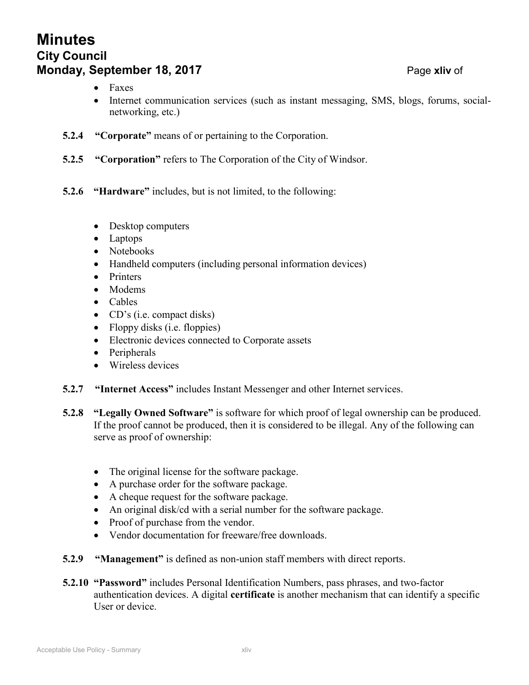## **Minutes City Council Monday, September 18, 2017 Page xliv** of

- Faxes
- Internet communication services (such as instant messaging, SMS, blogs, forums, socialnetworking, etc.)
- **5.2.4 "Corporate"** means of or pertaining to the Corporation.
- **5.2.5 "Corporation"** refers to The Corporation of the City of Windsor.
- **5.2.6 "Hardware"** includes, but is not limited, to the following:
	- Desktop computers
	- Laptops
	- Notebooks
	- Handheld computers (including personal information devices)
	- Printers
	- Modems
	- Cables
	- CD's (i.e. compact disks)
	- Floppy disks (i.e. floppies)
	- Electronic devices connected to Corporate assets
	- Peripherals
	- Wireless devices
- **5.2.7 "Internet Access"** includes Instant Messenger and other Internet services.
- **5.2.8 "Legally Owned Software"** is software for which proof of legal ownership can be produced. If the proof cannot be produced, then it is considered to be illegal. Any of the following can serve as proof of ownership:
	- The original license for the software package.
	- A purchase order for the software package.
	- A cheque request for the software package.
	- An original disk/cd with a serial number for the software package.
	- Proof of purchase from the vendor.
	- Vendor documentation for freeware/free downloads.
- **5.2.9 "Management"** is defined as non-union staff members with direct reports.
- **5.2.10 "Password"** includes Personal Identification Numbers, pass phrases, and two-factor authentication devices. A digital **certificate** is another mechanism that can identify a specific User or device.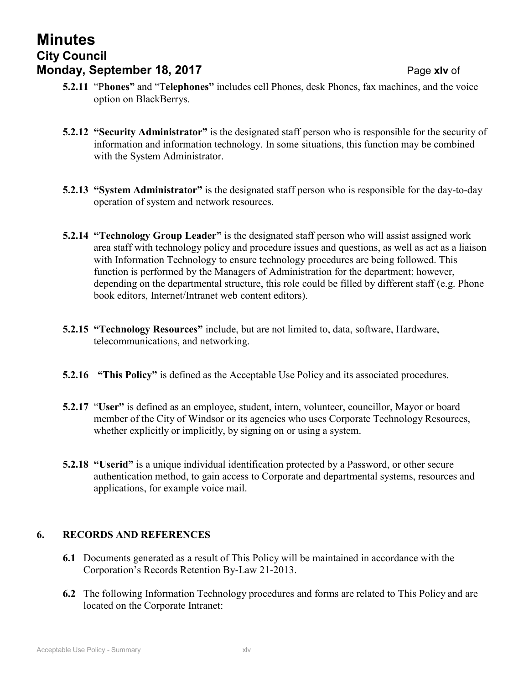## **Minutes City Council Monday, September 18, 2017 Page xlv** of

- **52 5.2.11** "P**hones"** and "T**elephones"** includes cell Phones, desk Phones, fax machines, and the voice option on BlackBerrys.
- **5.2.12 "Security Administrator"** is the designated staff person who is responsible for the security of information and information technology. In some situations, this function may be combined with the System Administrator.
- **5.2.13 "System Administrator"** is the designated staff person who is responsible for the day-to-day operation of system and network resources.
- **5.2.14 "Technology Group Leader"** is the designated staff person who will assist assigned work area staff with technology policy and procedure issues and questions, as well as act as a liaison with Information Technology to ensure technology procedures are being followed. This function is performed by the Managers of Administration for the department; however, depending on the departmental structure, this role could be filled by different staff (e.g. Phone book editors, Internet/Intranet web content editors).
- **5.2.15 "Technology Resources"** include, but are not limited to, data, software, Hardware, telecommunications, and networking.
- **5.2.16 "This Policy"** is defined as the Acceptable Use Policy and its associated procedures.
- **5.2.17** "**User"** is defined as an employee, student, intern, volunteer, councillor, Mayor or board member of the City of Windsor or its agencies who uses Corporate Technology Resources, whether explicitly or implicitly, by signing on or using a system.
- **5.2.18 "Userid"** is a unique individual identification protected by a Password, or other secure authentication method, to gain access to Corporate and departmental systems, resources and applications, for example voice mail.

## <span id="page-44-0"></span>**6. RECORDS AND REFERENCES**

- **6.1** Documents generated as a result of This Policy will be maintained in accordance with the Corporation's Records Retention By-Law 21-2013.
- **6.2** The following Information Technology procedures and forms are related to This Policy and are located on the Corporate Intranet: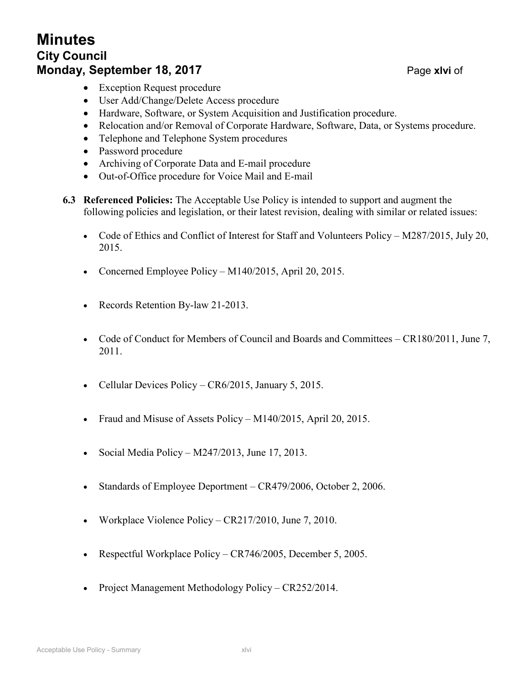## **Minutes City Council Monday, September 18, 2017 Page xlvi** of

- Exception Request procedure
- User Add/Change/Delete Access procedure
- Hardware, Software, or System Acquisition and Justification procedure.
- Relocation and/or Removal of Corporate Hardware, Software, Data, or Systems procedure.
- Telephone and Telephone System procedures
- Password procedure
- Archiving of Corporate Data and E-mail procedure
- Out-of-Office procedure for Voice Mail and E-mail
- **6.3 Referenced Policies:** The Acceptable Use Policy is intended to support and augment the following policies and legislation, or their latest revision, dealing with similar or related issues:
	- Code of Ethics and Conflict of Interest for Staff and Volunteers Policy M287/2015, July 20, 2015.
	- Concerned Employee Policy M140/2015, April 20, 2015.
	- Records Retention By-law 21-2013.
	- Code of Conduct for Members of Council and Boards and Committees CR180/2011, June 7, 2011.
	- Cellular Devices Policy CR6/2015, January 5, 2015.
	- Fraud and Misuse of Assets Policy M140/2015, April 20, 2015.
	- Social Media Policy  $M247/2013$ , June 17, 2013.
	- Standards of Employee Deportment CR479/2006, October 2, 2006.
	- Workplace Violence Policy CR217/2010, June 7, 2010.
	- Respectful Workplace Policy CR746/2005, December 5, 2005.
	- Project Management Methodology Policy CR252/2014.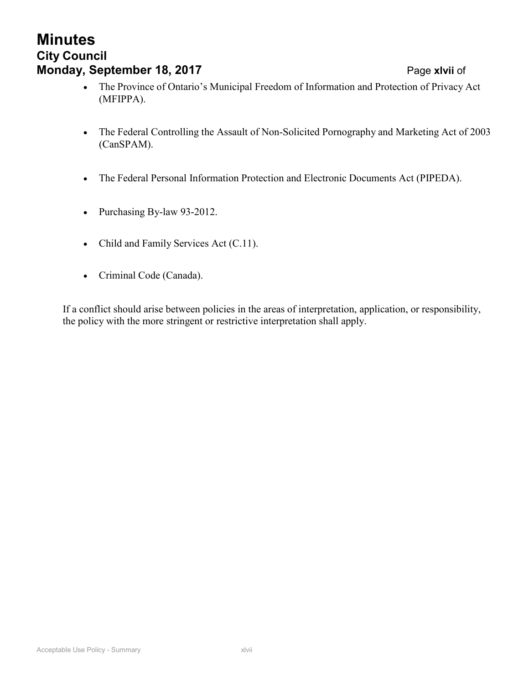#### Acceptable Use Policy - Summary **Xames Acceptable Use Policy - Summary Xames Acceptable Use Policy**

## **Minutes City Council Monday, September 18, 2017** Page **xlvii** of

- **52** The Province of Ontario's Municipal Freedom of Information and Protection of Privacy Act (MFIPPA).
- The Federal Controlling the Assault of Non-Solicited Pornography and Marketing Act of 2003 (CanSPAM).
- The Federal Personal Information Protection and Electronic Documents Act (PIPEDA).
- Purchasing By-law 93-2012.
- Child and Family Services Act (C.11).
- Criminal Code (Canada).

If a conflict should arise between policies in the areas of interpretation, application, or responsibility, the policy with the more stringent or restrictive interpretation shall apply.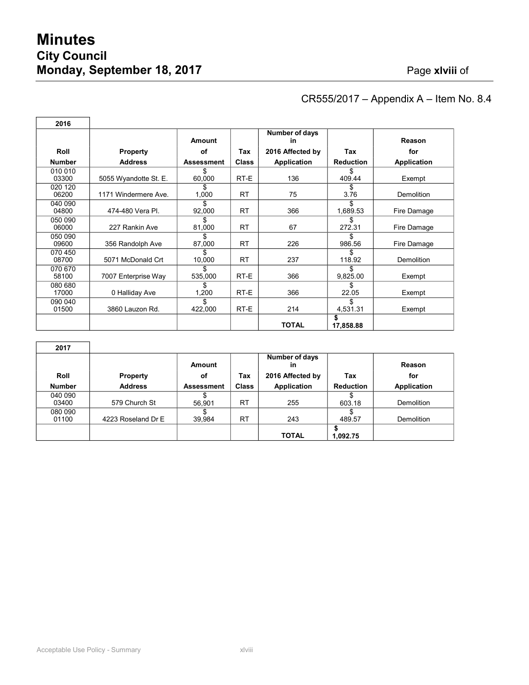| 2016             |                       |                   |              |                      |                  |                    |
|------------------|-----------------------|-------------------|--------------|----------------------|------------------|--------------------|
|                  |                       | Amount            |              | Number of days<br>in |                  | Reason             |
| Roll             | <b>Property</b>       | of                | Tax          | 2016 Affected by     | Tax              | for                |
| <b>Number</b>    | <b>Address</b>        | <b>Assessment</b> | <b>Class</b> | Application          | <b>Reduction</b> | <b>Application</b> |
| 010 010<br>03300 | 5055 Wyandotte St. E. | 60,000            | RT-E         | 136                  | \$.<br>409.44    | Exempt             |
| 020 120<br>06200 | 1171 Windermere Ave.  | \$<br>1,000       | <b>RT</b>    | 75                   | \$<br>3.76       | Demolition         |
| 040 090<br>04800 | 474-480 Vera PI.      | \$<br>92,000      | <b>RT</b>    | 366                  | \$<br>1,689.53   | Fire Damage        |
| 050 090<br>06000 | 227 Rankin Ave        | \$<br>81,000      | <b>RT</b>    | 67                   | \$<br>272.31     | Fire Damage        |
| 050 090<br>09600 | 356 Randolph Ave      | \$<br>87,000      | <b>RT</b>    | 226                  | \$<br>986.56     | Fire Damage        |
| 070 450<br>08700 | 5071 McDonald Crt     | \$<br>10,000      | <b>RT</b>    | 237                  | \$<br>118.92     | <b>Demolition</b>  |
| 070 670<br>58100 | 7007 Enterprise Way   | \$<br>535,000     | RT-E         | 366                  | \$<br>9,825.00   | Exempt             |
| 080 680<br>17000 | 0 Halliday Ave        | S<br>1,200        | RT-E         | 366                  | \$<br>22.05      | Exempt             |
| 090 040<br>01500 | 3860 Lauzon Rd.       | \$<br>422,000     | RT-E         | 214                  | \$.<br>4,531.31  | Exempt             |
|                  |                       |                   |              | <b>TOTAL</b>         | \$<br>17,858.88  |                    |

## CR555/2017 – Appendix A – Item No. 8.4

**52**

| 2017             |                    |                   |              |                                          |                  |                   |
|------------------|--------------------|-------------------|--------------|------------------------------------------|------------------|-------------------|
| <b>Roll</b>      | <b>Property</b>    | Amount<br>οf      | Tax          | Number of days<br>in<br>2016 Affected by | Tax              | Reason<br>for     |
| <b>Number</b>    | <b>Address</b>     | <b>Assessment</b> | <b>Class</b> | Application                              | <b>Reduction</b> | Application       |
| 040 090<br>03400 | 579 Church St      | 56,901            | RT           | 255                                      | 603.18           | <b>Demolition</b> |
| 080 090<br>01100 | 4223 Roseland Dr E | 39,984            | <b>RT</b>    | 243                                      | 489.57           | <b>Demolition</b> |
|                  |                    |                   |              | <b>TOTAL</b>                             | 1,092.75         |                   |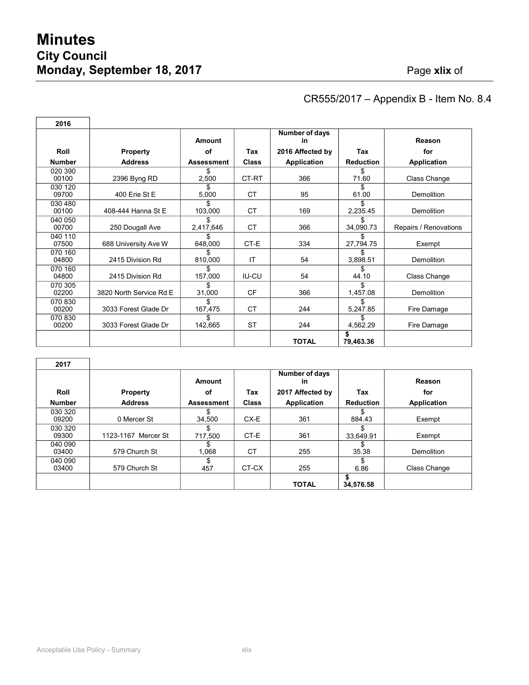Г

## CR555/2017 – Appendix B - Item No. 8.4

**52**

| 2016             |                         |                   |              |                      |                  |                       |
|------------------|-------------------------|-------------------|--------------|----------------------|------------------|-----------------------|
|                  |                         | Amount            |              | Number of days<br>in |                  | Reason                |
| Roll             | <b>Property</b>         | οf                | Tax          | 2016 Affected by     | Tax              | for                   |
| <b>Number</b>    | <b>Address</b>          | <b>Assessment</b> | <b>Class</b> | Application          | <b>Reduction</b> | <b>Application</b>    |
| 020 390<br>00100 | 2396 Byng RD            | \$<br>2,500       | CT-RT        | 366                  | \$<br>71.60      | Class Change          |
| 030 120<br>09700 | 400 Erie St E           | S.<br>5,000       | <b>CT</b>    | 95                   | \$.<br>61.00     | Demolition            |
| 030 480<br>00100 | 408-444 Hanna St E      | \$.<br>103,000    | <b>CT</b>    | 169                  | \$<br>2,235.45   | Demolition            |
| 040 050<br>00700 | 250 Dougall Ave         | \$<br>2,417,646   | <b>CT</b>    | 366                  | S.<br>34,090.73  | Repairs / Renovations |
| 040 110<br>07500 | 688 University Ave W    | 648,000           | CT-E         | 334                  | 27,794.75        | Exempt                |
| 070 160<br>04800 | 2415 Division Rd        | \$.<br>810,000    | IT           | 54                   | \$.<br>3,898.51  | Demolition            |
| 070 160<br>04800 | 2415 Division Rd        | \$<br>157,000     | <b>IU-CU</b> | 54                   | \$<br>44.10      | Class Change          |
| 070 305<br>02200 | 3820 North Service Rd E | 31,000            | <b>CF</b>    | 366                  | 1,457.08         | Demolition            |
| 070 830<br>00200 | 3033 Forest Glade Dr    | \$<br>167,475     | <b>CT</b>    | 244                  | \$<br>5,247.85   | Fire Damage           |
| 070 830<br>00200 | 3033 Forest Glade Dr    | \$<br>142,665     | <b>ST</b>    | 244                  | \$.<br>4,562.29  | Fire Damage           |
|                  |                         |                   |              | <b>TOTAL</b>         | 79,463.36        |                       |

| 2017             |                     |                   |              |                      |                  |              |
|------------------|---------------------|-------------------|--------------|----------------------|------------------|--------------|
|                  |                     | Amount            |              | Number of days<br>in |                  | Reason       |
| Roll             | <b>Property</b>     | οf                | Tax          | 2017 Affected by     | Tax              | for          |
| <b>Number</b>    | <b>Address</b>      | <b>Assessment</b> | <b>Class</b> | <b>Application</b>   | <b>Reduction</b> | Application  |
| 030 320<br>09200 | 0 Mercer St         | 34,500            | CX-E         | 361                  | S.<br>884.43     | Exempt       |
| 030 320<br>09300 | 1123-1167 Mercer St | 717.500           | CT-E         | 361                  | 33,649.91        | Exempt       |
| 040 090<br>03400 | 579 Church St       | 1,068             | <b>CT</b>    | 255                  | \$<br>35.38      | Demolition   |
| 040 090<br>03400 | 579 Church St       | 457               | CT-CX        | 255                  | \$<br>6.86       | Class Change |
|                  |                     |                   |              | <b>TOTAL</b>         | 34,576.58        |              |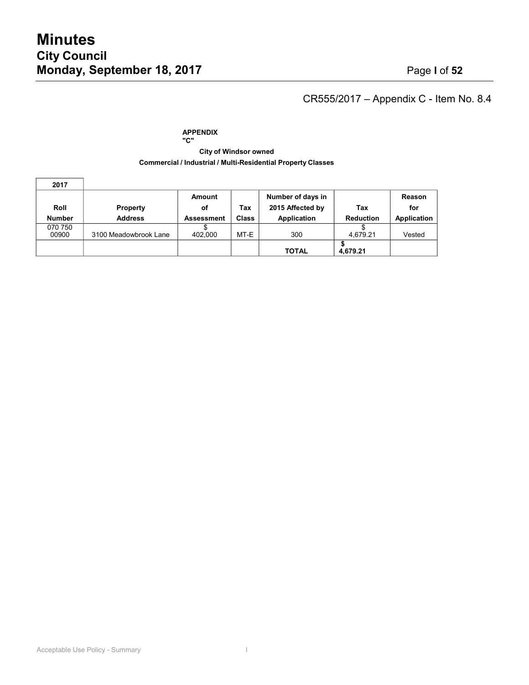$\overline{\phantom{a}}$ 

 $\mathbf{r}$ 

## CR555/2017 – Appendix C - Item No. 8.4

#### **APPENDIX "C"**

#### **City of Windsor owned Commercial / Industrial / Multi-Residential Property Classes**

| 2017             |                       |                   |              |                   |                  |             |
|------------------|-----------------------|-------------------|--------------|-------------------|------------------|-------------|
|                  |                       | Amount            |              | Number of days in |                  | Reason      |
| Roll             | <b>Property</b>       | οf                | Tax          | 2015 Affected by  | Tax              | for         |
| <b>Number</b>    | <b>Address</b>        | <b>Assessment</b> | <b>Class</b> | Application       | <b>Reduction</b> | Application |
| 070 750<br>00900 | 3100 Meadowbrook Lane | 402,000           | MT-E         | 300               | 4.679.21         | Vested      |
|                  |                       |                   |              | <b>TOTAL</b>      | 4.679.21         |             |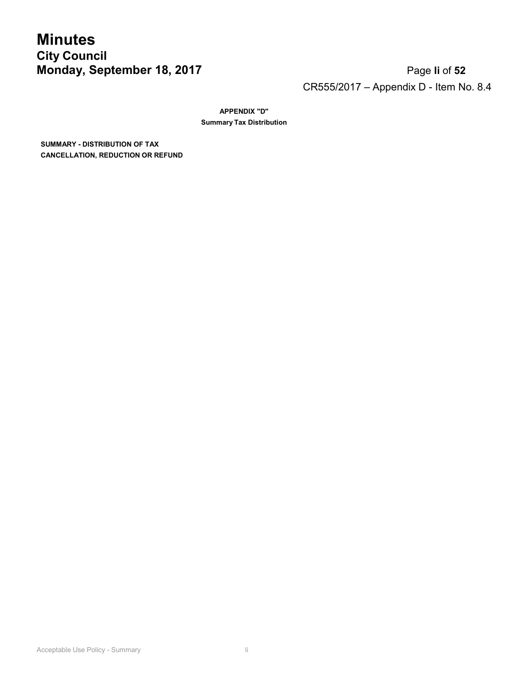## **Minutes City Council Monday, September 18, 2017** Page **li** of **52**

# CR555/2017 – Appendix D - Item No. 8.4

**APPENDIX "D" Summary Tax Distribution**

**SUMMARY - DISTRIBUTION OF TAX CANCELLATION, REDUCTION OR REFUND**